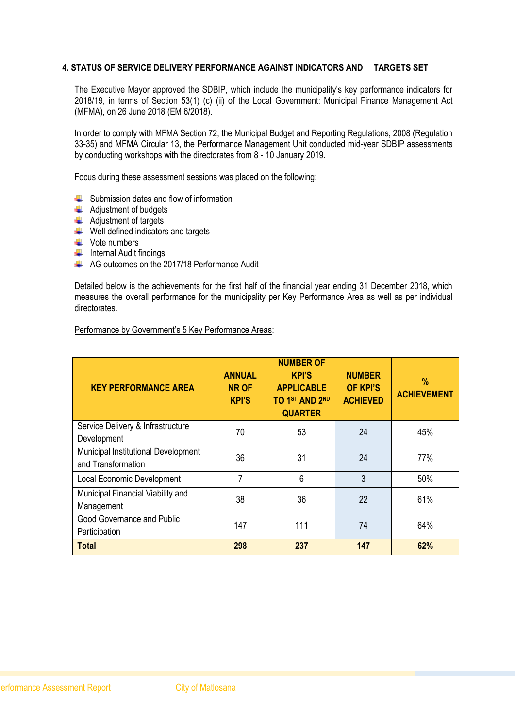#### **4. STATUS OF SERVICE DELIVERY PERFORMANCE AGAINST INDICATORS AND TARGETS SET**

The Executive Mayor approved the SDBIP, which include the municipality's key performance indicators for 2018/19, in terms of Section 53(1) (c) (ii) of the Local Government: Municipal Finance Management Act (MFMA), on 26 June 2018 (EM 6/2018).

In order to comply with MFMA Section 72, the Municipal Budget and Reporting Regulations, 2008 (Regulation 33-35) and MFMA Circular 13, the Performance Management Unit conducted mid-year SDBIP assessments by conducting workshops with the directorates from 8 - 10 January 2019.

Focus during these assessment sessions was placed on the following:

- $\triangleq$  Submission dates and flow of information
- $\triangleq$  Adjustment of budgets
- $\overline{\mathbf{A}}$  Adjustment of targets
- $\bigstar$  Well defined indicators and targets
- $\downarrow$  Vote numbers
- $\frac{1}{\sqrt{1}}$  Internal Audit findings
- $\leftarrow$  AG outcomes on the 2017/18 Performance Audit

Detailed below is the achievements for the first half of the financial year ending 31 December 2018, which measures the overall performance for the municipality per Key Performance Area as well as per individual directorates.

|  |  |  | Performance by Government's 5 Key Performance Areas: |
|--|--|--|------------------------------------------------------|
|--|--|--|------------------------------------------------------|

| <b>KEY PERFORMANCE AREA</b>                               | <b>ANNUAL</b><br><b>NR OF</b><br><b>KPI'S</b> | <b>NUMBER OF</b><br><b>KPI'S</b><br><b>APPLICABLE</b><br>TO 1ST AND 2ND<br><b>QUARTER</b> | <b>NUMBER</b><br><b>OF KPI'S</b><br><b>ACHIEVED</b> | $\%$<br><b>ACHIEVEMENT</b> |
|-----------------------------------------------------------|-----------------------------------------------|-------------------------------------------------------------------------------------------|-----------------------------------------------------|----------------------------|
| Service Delivery & Infrastructure<br>Development          | 70                                            | 53                                                                                        | 24                                                  | 45%                        |
| Municipal Institutional Development<br>and Transformation | 36                                            | 31                                                                                        | 24                                                  | 77%                        |
| Local Economic Development                                | 7                                             | 6                                                                                         | 3                                                   | 50%                        |
| Municipal Financial Viability and<br>Management           | 38                                            | 36                                                                                        | 22                                                  | 61%                        |
| Good Governance and Public<br>Participation               | 147                                           | 111                                                                                       | 74                                                  | 64%                        |
| <b>Total</b>                                              | 298                                           | 237                                                                                       | 147                                                 | 62%                        |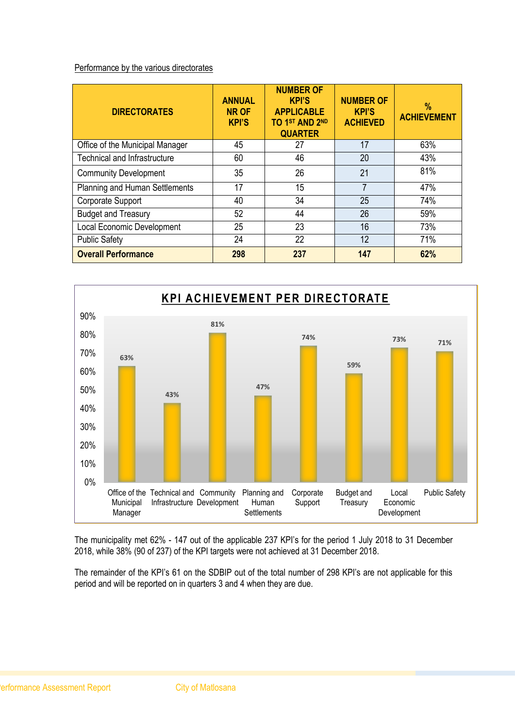#### Performance by the various directorates

| <b>DIRECTORATES</b>                   | <b>ANNUAL</b><br><b>NR OF</b><br><b>KPI'S</b> | <b>NUMBER OF</b><br><b>KPI'S</b><br><b>APPLICABLE</b><br>TO 1ST AND 2ND<br><b>QUARTER</b> | <b>NUMBER OF</b><br><b>KPI'S</b><br><b>ACHIEVED</b> | %<br><b>ACHIEVEMENT</b> |
|---------------------------------------|-----------------------------------------------|-------------------------------------------------------------------------------------------|-----------------------------------------------------|-------------------------|
| Office of the Municipal Manager       | 45                                            | 27                                                                                        | 17                                                  | 63%                     |
| <b>Technical and Infrastructure</b>   | 60                                            | 46                                                                                        | 20                                                  | 43%                     |
| <b>Community Development</b>          | 35                                            | 26                                                                                        | 21                                                  | 81%                     |
| <b>Planning and Human Settlements</b> | 17                                            | 15                                                                                        | 7                                                   | 47%                     |
| Corporate Support                     | 40                                            | 34                                                                                        | 25                                                  | 74%                     |
| <b>Budget and Treasury</b>            | 52                                            | 44                                                                                        | 26                                                  | 59%                     |
| <b>Local Economic Development</b>     | 25                                            | 23                                                                                        | 16                                                  | 73%                     |
| <b>Public Safety</b>                  | 24                                            | 22                                                                                        | 12                                                  | 71%                     |
| <b>Overall Performance</b>            | 298                                           | 237                                                                                       | 147                                                 | 62%                     |



The municipality met 62% - 147 out of the applicable 237 KPI's for the period 1 July 2018 to 31 December 2018, while 38% (90 of 237) of the KPI targets were not achieved at 31 December 2018.

The remainder of the KPI's 61 on the SDBIP out of the total number of 298 KPI's are not applicable for this period and will be reported on in quarters 3 and 4 when they are due.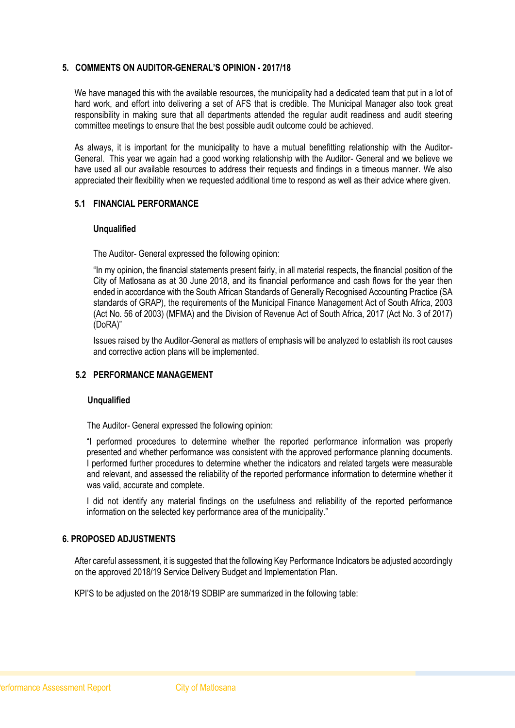#### **5. COMMENTS ON AUDITOR-GENERAL'S OPINION - 2017/18**

We have managed this with the available resources, the municipality had a dedicated team that put in a lot of hard work, and effort into delivering a set of AFS that is credible. The Municipal Manager also took great responsibility in making sure that all departments attended the regular audit readiness and audit steering committee meetings to ensure that the best possible audit outcome could be achieved.

As always, it is important for the municipality to have a mutual benefitting relationship with the Auditor-General. This year we again had a good working relationship with the Auditor- General and we believe we have used all our available resources to address their requests and findings in a timeous manner. We also appreciated their flexibility when we requested additional time to respond as well as their advice where given.

#### **5.1 FINANCIAL PERFORMANCE**

#### **Unqualified**

The Auditor- General expressed the following opinion:

"In my opinion, the financial statements present fairly, in all material respects, the financial position of the City of Matlosana as at 30 June 2018, and its financial performance and cash flows for the year then ended in accordance with the South African Standards of Generally Recognised Accounting Practice (SA standards of GRAP), the requirements of the Municipal Finance Management Act of South Africa, 2003 (Act No. 56 of 2003) (MFMA) and the Division of Revenue Act of South Africa, 2017 (Act No. 3 of 2017) (DoRA)"

Issues raised by the Auditor-General as matters of emphasis will be analyzed to establish its root causes and corrective action plans will be implemented.

#### **5.2 PERFORMANCE MANAGEMENT**

#### **Unqualified**

The Auditor- General expressed the following opinion:

"I performed procedures to determine whether the reported performance information was properly presented and whether performance was consistent with the approved performance planning documents. I performed further procedures to determine whether the indicators and related targets were measurable and relevant, and assessed the reliability of the reported performance information to determine whether it was valid, accurate and complete.

I did not identify any material findings on the usefulness and reliability of the reported performance information on the selected key performance area of the municipality."

#### **6. PROPOSED ADJUSTMENTS**

After careful assessment, it is suggested that the following Key Performance Indicators be adjusted accordingly on the approved 2018/19 Service Delivery Budget and Implementation Plan.

KPI'S to be adjusted on the 2018/19 SDBIP are summarized in the following table: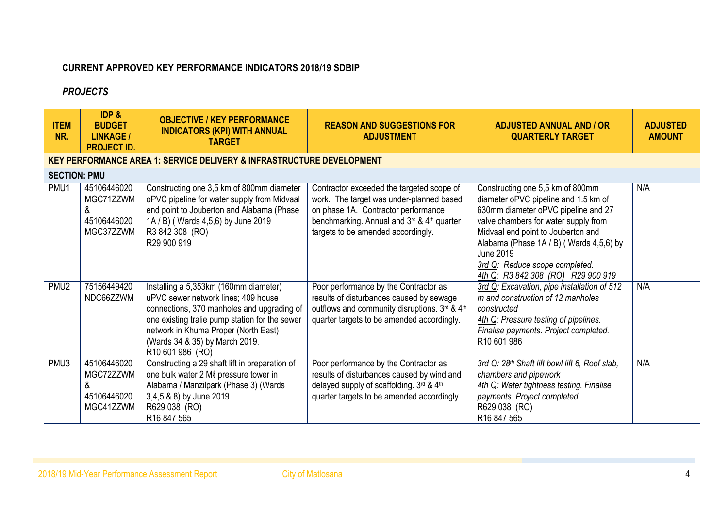## **CURRENT APPROVED KEY PERFORMANCE INDICATORS 2018/19 SDBIP**

### *PROJECTS*

| <b>ITEM</b><br>NR.  | <b>IDP &amp;</b><br><b>BUDGET</b><br><b>LINKAGE /</b><br><b>PROJECT ID.</b> | <b>OBJECTIVE / KEY PERFORMANCE</b><br><b>INDICATORS (KPI) WITH ANNUAL</b><br><b>TARGET</b>                                                                                                                                                                                 | <b>REASON AND SUGGESTIONS FOR</b><br><b>ADJUSTMENT</b>                                                                                                                                                           | <b>ADJUSTED ANNUAL AND / OR</b><br><b>QUARTERLY TARGET</b>                                                                                                                                                                                                                                                                    | <b>ADJUSTED</b><br><b>AMOUNT</b> |
|---------------------|-----------------------------------------------------------------------------|----------------------------------------------------------------------------------------------------------------------------------------------------------------------------------------------------------------------------------------------------------------------------|------------------------------------------------------------------------------------------------------------------------------------------------------------------------------------------------------------------|-------------------------------------------------------------------------------------------------------------------------------------------------------------------------------------------------------------------------------------------------------------------------------------------------------------------------------|----------------------------------|
|                     |                                                                             | <b>KEY PERFORMANCE AREA 1: SERVICE DELIVERY &amp; INFRASTRUCTURE DEVELOPMENT</b>                                                                                                                                                                                           |                                                                                                                                                                                                                  |                                                                                                                                                                                                                                                                                                                               |                                  |
| <b>SECTION: PMU</b> |                                                                             |                                                                                                                                                                                                                                                                            |                                                                                                                                                                                                                  |                                                                                                                                                                                                                                                                                                                               |                                  |
| PMU1                | 45106446020<br>MGC71ZZWM<br>&<br>45106446020<br>MGC37ZZWM                   | Constructing one 3,5 km of 800mm diameter<br>oPVC pipeline for water supply from Midvaal<br>end point to Jouberton and Alabama (Phase<br>1A / B) (Wards 4,5,6) by June 2019<br>R3 842 308 (RO)<br>R29 900 919                                                              | Contractor exceeded the targeted scope of<br>work. The target was under-planned based<br>on phase 1A. Contractor performance<br>benchmarking. Annual and 3rd & 4th quarter<br>targets to be amended accordingly. | Constructing one 5,5 km of 800mm<br>diameter oPVC pipeline and 1.5 km of<br>630mm diameter oPVC pipeline and 27<br>valve chambers for water supply from<br>Midvaal end point to Jouberton and<br>Alabama (Phase 1A / B) (Wards 4,5,6) by<br>June 2019<br>3rd Q: Reduce scope completed.<br>4th Q: R3 842 308 (RO) R29 900 919 | N/A                              |
| PMU <sub>2</sub>    | 75156449420<br>NDC66ZZWM                                                    | Installing a 5,353km (160mm diameter)<br>uPVC sewer network lines; 409 house<br>connections, 370 manholes and upgrading of<br>one existing tralie pump station for the sewer<br>network in Khuma Proper (North East)<br>(Wards 34 & 35) by March 2019.<br>R10 601 986 (RO) | Poor performance by the Contractor as<br>results of disturbances caused by sewage<br>outflows and community disruptions. 3rd & 4th<br>quarter targets to be amended accordingly.                                 | 3rd Q: Excavation, pipe installation of 512<br>m and construction of 12 manholes<br>constructed<br>4th Q: Pressure testing of pipelines.<br>Finalise payments. Project completed.<br>R10 601 986                                                                                                                              | N/A                              |
| PMU3                | 45106446020<br>MGC72ZZWM<br>&<br>45106446020<br>MGC41ZZWM                   | Constructing a 29 shaft lift in preparation of<br>one bulk water 2 Ml pressure tower in<br>Alabama / Manzilpark (Phase 3) (Wards<br>3,4,5 & 8) by June 2019<br>R629 038 (RO)<br>R16 847 565                                                                                | Poor performance by the Contractor as<br>results of disturbances caused by wind and<br>delayed supply of scaffolding. 3rd & 4th<br>quarter targets to be amended accordingly.                                    | 3rd Q: 28 <sup>th</sup> Shaft lift bowl lift 6, Roof slab,<br>chambers and pipework<br>4th Q: Water tightness testing. Finalise<br>payments. Project completed.<br>R629 038 (RO)<br>R16 847 565                                                                                                                               | N/A                              |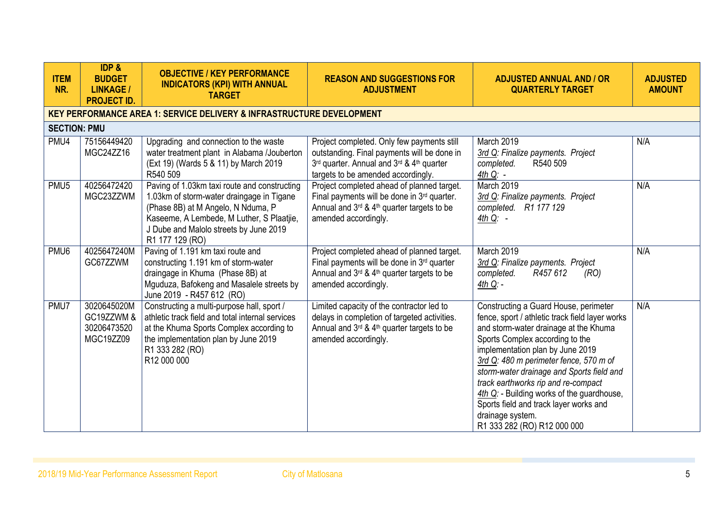| <b>ITEM</b><br>NR.  | IDP &<br><b>BUDGET</b><br><b>LINKAGE /</b><br><b>PROJECT ID.</b> | <b>OBJECTIVE / KEY PERFORMANCE</b><br><b>INDICATORS (KPI) WITH ANNUAL</b><br><b>TARGET</b>                                                                                                                                                | <b>REASON AND SUGGESTIONS FOR</b><br><b>ADJUSTMENT</b>                                                                                                                          | <b>ADJUSTED ANNUAL AND / OR</b><br><b>QUARTERLY TARGET</b>                                                                                                                                                                                                                                                                                                                                                                                                                        | <b>ADJUSTED</b><br><b>AMOUNT</b> |
|---------------------|------------------------------------------------------------------|-------------------------------------------------------------------------------------------------------------------------------------------------------------------------------------------------------------------------------------------|---------------------------------------------------------------------------------------------------------------------------------------------------------------------------------|-----------------------------------------------------------------------------------------------------------------------------------------------------------------------------------------------------------------------------------------------------------------------------------------------------------------------------------------------------------------------------------------------------------------------------------------------------------------------------------|----------------------------------|
|                     |                                                                  | <b>KEY PERFORMANCE AREA 1: SERVICE DELIVERY &amp; INFRASTRUCTURE DEVELOPMENT</b>                                                                                                                                                          |                                                                                                                                                                                 |                                                                                                                                                                                                                                                                                                                                                                                                                                                                                   |                                  |
| <b>SECTION: PMU</b> |                                                                  |                                                                                                                                                                                                                                           |                                                                                                                                                                                 |                                                                                                                                                                                                                                                                                                                                                                                                                                                                                   |                                  |
| PMU4                | 75156449420<br>MGC24ZZ16                                         | Upgrading and connection to the waste<br>water treatment plant in Alabama /Jouberton<br>(Ext 19) (Wards 5 & 11) by March 2019<br>R540 509                                                                                                 | Project completed. Only few payments still<br>outstanding. Final payments will be done in<br>3rd quarter. Annual and 3rd & 4th quarter<br>targets to be amended accordingly.    | March 2019<br>3rd Q: Finalize payments. Project<br>R540 509<br>completed.<br>$4th Q: -$                                                                                                                                                                                                                                                                                                                                                                                           | N/A                              |
| PMU <sub>5</sub>    | 40256472420<br>MGC23ZZWM                                         | Paving of 1.03km taxi route and constructing<br>1.03km of storm-water draingage in Tigane<br>(Phase 8B) at M Angelo, N Nduma, P<br>Kaseeme, A Lembede, M Luther, S Plaatjie,<br>J Dube and Malolo streets by June 2019<br>R1 177 129 (RO) | Project completed ahead of planned target.<br>Final payments will be done in 3 <sup>rd</sup> quarter.<br>Annual and 3rd & 4th quarter targets to be<br>amended accordingly.     | March 2019<br>3rd Q: Finalize payments. Project<br>completed. R1 177 129<br>$4th Q: -$                                                                                                                                                                                                                                                                                                                                                                                            | N/A                              |
| PMU6                | 4025647240M<br>GC67ZZWM                                          | Paving of 1.191 km taxi route and<br>constructing 1.191 km of storm-water<br>draingage in Khuma (Phase 8B) at<br>Mguduza, Bafokeng and Masalele streets by<br>June 2019 - R457 612 (RO)                                                   | Project completed ahead of planned target.<br>Final payments will be done in 3rd quarter<br>Annual and $3^{rd}$ & 4 <sup>th</sup> quarter targets to be<br>amended accordingly. | March 2019<br>3rd Q: Finalize payments. Project<br>completed.<br>R457 612<br>(RO)<br>$4th Q -$                                                                                                                                                                                                                                                                                                                                                                                    | N/A                              |
| PMU7                | 3020645020M<br>GC19ZZWM &<br>30206473520<br>MGC19ZZ09            | Constructing a multi-purpose hall, sport /<br>athletic track field and total internal services<br>at the Khuma Sports Complex according to<br>the implementation plan by June 2019<br>R1 333 282 (RO)<br>R12 000 000                      | Limited capacity of the contractor led to<br>delays in completion of targeted activities.<br>Annual and 3rd & 4th quarter targets to be<br>amended accordingly.                 | Constructing a Guard House, perimeter<br>fence, sport / athletic track field layer works<br>and storm-water drainage at the Khuma<br>Sports Complex according to the<br>implementation plan by June 2019<br>3rd Q: 480 m perimeter fence, 570 m of<br>storm-water drainage and Sports field and<br>track earthworks rip and re-compact<br>4th Q: - Building works of the guardhouse,<br>Sports field and track layer works and<br>drainage system.<br>R1 333 282 (RO) R12 000 000 | N/A                              |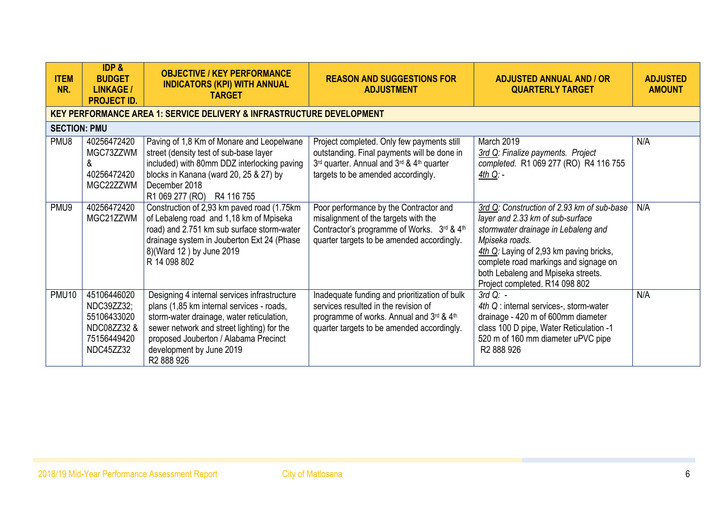| <b>ITEM</b><br>NR.  | <b>IDP &amp;</b><br><b>BUDGET</b><br><b>LINKAGE /</b><br><b>PROJECT ID.</b>         | <b>OBJECTIVE / KEY PERFORMANCE</b><br><b>INDICATORS (KPI) WITH ANNUAL</b><br><b>TARGET</b>                                                                                                                                                                                          | <b>REASON AND SUGGESTIONS FOR</b><br><b>ADJUSTMENT</b>                                                                                                                          | <b>ADJUSTED ANNUAL AND / OR</b><br><b>QUARTERLY TARGET</b>                                                                                                                                                                                                                                          | <b>ADJUSTED</b><br><b>AMOUNT</b> |
|---------------------|-------------------------------------------------------------------------------------|-------------------------------------------------------------------------------------------------------------------------------------------------------------------------------------------------------------------------------------------------------------------------------------|---------------------------------------------------------------------------------------------------------------------------------------------------------------------------------|-----------------------------------------------------------------------------------------------------------------------------------------------------------------------------------------------------------------------------------------------------------------------------------------------------|----------------------------------|
|                     |                                                                                     | <b>KEY PERFORMANCE AREA 1: SERVICE DELIVERY &amp; INFRASTRUCTURE DEVELOPMENT</b>                                                                                                                                                                                                    |                                                                                                                                                                                 |                                                                                                                                                                                                                                                                                                     |                                  |
| <b>SECTION: PMU</b> |                                                                                     |                                                                                                                                                                                                                                                                                     |                                                                                                                                                                                 |                                                                                                                                                                                                                                                                                                     |                                  |
| PMU8                | 40256472420<br>MGC73ZZWM<br>&<br>40256472420<br>MGC22ZZWM                           | Paving of 1,8 Km of Monare and Leopelwane<br>street (density test of sub-base layer<br>included) with 80mm DDZ interlocking paving<br>blocks in Kanana (ward 20, 25 & 27) by<br>December 2018<br>R1 069 277 (RO) R4 116 755                                                         | Project completed. Only few payments still<br>outstanding. Final payments will be done in<br>3rd quarter. Annual and 3rd & 4th quarter<br>targets to be amended accordingly.    | March 2019<br>3rd Q: Finalize payments. Project<br>completed. R1 069 277 (RO) R4 116 755<br>4th Q: -                                                                                                                                                                                                | N/A                              |
| PMU9                | 40256472420<br>MGC21ZZWM                                                            | Construction of 2,93 km paved road (1.75km)<br>of Lebaleng road and 1,18 km of Mpiseka<br>road) and 2.751 km sub surface storm-water<br>drainage system in Jouberton Ext 24 (Phase<br>8)(Ward 12) by June 2019<br>R 14 098 802                                                      | Poor performance by the Contractor and<br>misalignment of the targets with the<br>Contractor's programme of Works. 3rd & 4th<br>quarter targets to be amended accordingly.      | 3rd Q: Construction of 2.93 km of sub-base<br>layer and 2.33 km of sub-surface<br>stormwater drainage in Lebaleng and<br>Mpiseka roads.<br>4th Q: Laying of 2,93 km paving bricks,<br>complete road markings and signage on<br>both Lebaleng and Mpiseka streets.<br>Project completed. R14 098 802 | N/A                              |
| PMU10               | 45106446020<br>NDC39ZZ32;<br>55106433020<br>NDC08ZZ32 &<br>75156449420<br>NDC45ZZ32 | Designing 4 internal services infrastructure<br>plans (1,85 km internal services - roads,<br>storm-water drainage, water reticulation,<br>sewer network and street lighting) for the<br>proposed Jouberton / Alabama Precinct<br>development by June 2019<br>R <sub>2</sub> 888 926 | Inadequate funding and prioritization of bulk<br>services resulted in the revision of<br>programme of works. Annual and 3rd & 4th<br>quarter targets to be amended accordingly. | $3rd$ Q: $-$<br>4th Q: internal services-, storm-water<br>drainage - 420 m of 600mm diameter<br>class 100 D pipe, Water Reticulation -1<br>520 m of 160 mm diameter uPVC pipe<br>R <sub>2</sub> 888926                                                                                              | N/A                              |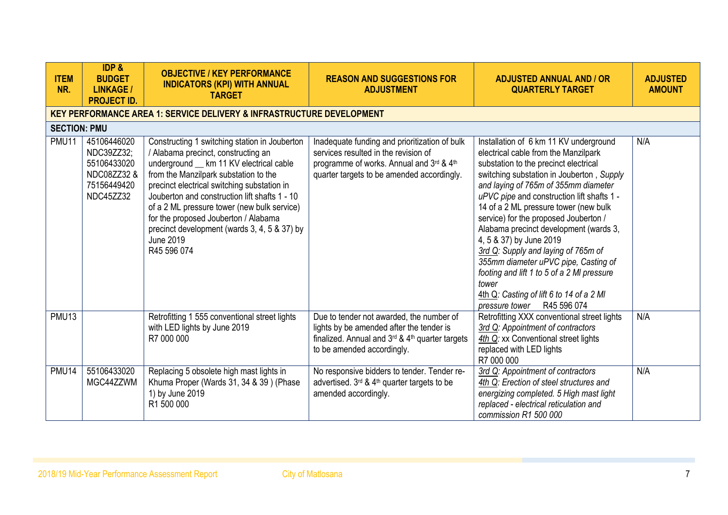| <b>ITEM</b><br>NR.  | <b>IDP &amp;</b><br><b>BUDGET</b><br><b>LINKAGE /</b><br><b>PROJECT ID.</b>         | <b>OBJECTIVE / KEY PERFORMANCE</b><br><b>INDICATORS (KPI) WITH ANNUAL</b><br><b>TARGET</b>                                                                                                                                                                                                                                                                                                                                                         | <b>REASON AND SUGGESTIONS FOR</b><br><b>ADJUSTMENT</b>                                                                                                                          | <b>ADJUSTED ANNUAL AND / OR</b><br><b>QUARTERLY TARGET</b>                                                                                                                                                                                                                                                                                                                                                                                                                                                                                                                                                                        | <b>ADJUSTED</b><br><b>AMOUNT</b> |
|---------------------|-------------------------------------------------------------------------------------|----------------------------------------------------------------------------------------------------------------------------------------------------------------------------------------------------------------------------------------------------------------------------------------------------------------------------------------------------------------------------------------------------------------------------------------------------|---------------------------------------------------------------------------------------------------------------------------------------------------------------------------------|-----------------------------------------------------------------------------------------------------------------------------------------------------------------------------------------------------------------------------------------------------------------------------------------------------------------------------------------------------------------------------------------------------------------------------------------------------------------------------------------------------------------------------------------------------------------------------------------------------------------------------------|----------------------------------|
|                     |                                                                                     | <b>KEY PERFORMANCE AREA 1: SERVICE DELIVERY &amp; INFRASTRUCTURE DEVELOPMENT</b>                                                                                                                                                                                                                                                                                                                                                                   |                                                                                                                                                                                 |                                                                                                                                                                                                                                                                                                                                                                                                                                                                                                                                                                                                                                   |                                  |
| <b>SECTION: PMU</b> |                                                                                     |                                                                                                                                                                                                                                                                                                                                                                                                                                                    |                                                                                                                                                                                 |                                                                                                                                                                                                                                                                                                                                                                                                                                                                                                                                                                                                                                   |                                  |
| <b>PMU11</b>        | 45106446020<br>NDC39ZZ32;<br>55106433020<br>NDC08ZZ32 &<br>75156449420<br>NDC45ZZ32 | Constructing 1 switching station in Jouberton<br>/ Alabama precinct, constructing an<br>underground _ km 11 KV electrical cable<br>from the Manzilpark substation to the<br>precinct electrical switching substation in<br>Jouberton and construction lift shafts 1 - 10<br>of a 2 ML pressure tower (new bulk service)<br>for the proposed Jouberton / Alabama<br>precinct development (wards 3, 4, 5 & 37) by<br><b>June 2019</b><br>R45 596 074 | Inadequate funding and prioritization of bulk<br>services resulted in the revision of<br>programme of works. Annual and 3rd & 4th<br>quarter targets to be amended accordingly. | Installation of 6 km 11 KV underground<br>electrical cable from the Manzilpark<br>substation to the precinct electrical<br>switching substation in Jouberton, Supply<br>and laying of 765m of 355mm diameter<br>uPVC pipe and construction lift shafts 1 -<br>14 of a 2 ML pressure tower (new bulk<br>service) for the proposed Jouberton /<br>Alabama precinct development (wards 3,<br>4, 5 & 37) by June 2019<br>3rd Q: Supply and laying of 765m of<br>355mm diameter uPVC pipe, Casting of<br>footing and lift 1 to 5 of a 2 MI pressure<br>tower<br>4th Q: Casting of lift 6 to 14 of a 2 MI<br>pressure tower R45 596 074 | N/A                              |
| PMU <sub>13</sub>   |                                                                                     | Retrofitting 1 555 conventional street lights<br>with LED lights by June 2019<br>R7 000 000                                                                                                                                                                                                                                                                                                                                                        | Due to tender not awarded, the number of<br>lights by be amended after the tender is<br>finalized. Annual and 3rd & 4th quarter targets<br>to be amended accordingly.           | Retrofitting XXX conventional street lights<br>3rd Q: Appointment of contractors<br>4th Q: xx Conventional street lights<br>replaced with LED lights<br>R7 000 000                                                                                                                                                                                                                                                                                                                                                                                                                                                                | N/A                              |
| <b>PMU14</b>        | 55106433020<br>MGC44ZZWM                                                            | Replacing 5 obsolete high mast lights in<br>Khuma Proper (Wards 31, 34 & 39) (Phase<br>1) by June 2019<br>R1 500 000                                                                                                                                                                                                                                                                                                                               | No responsive bidders to tender. Tender re-<br>advertised. 3 <sup>rd</sup> & 4 <sup>th</sup> quarter targets to be<br>amended accordingly.                                      | 3rd Q: Appointment of contractors<br>4th Q: Erection of steel structures and<br>energizing completed. 5 High mast light<br>replaced - electrical reticulation and<br>commission R1 500 000                                                                                                                                                                                                                                                                                                                                                                                                                                        | N/A                              |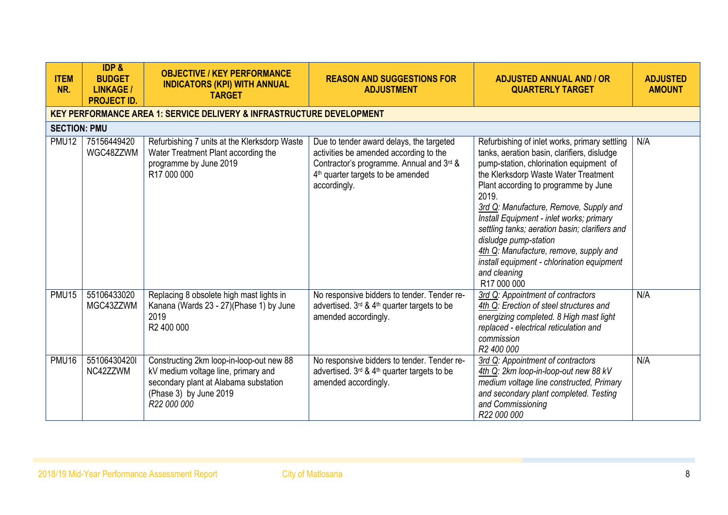| <b>ITEM</b><br>NR.  | IDP &<br><b>BUDGET</b><br><b>LINKAGE /</b><br><b>PROJECT ID.</b> | <b>OBJECTIVE / KEY PERFORMANCE</b><br><b>INDICATORS (KPI) WITH ANNUAL</b><br><b>TARGET</b>                                                                        | <b>REASON AND SUGGESTIONS FOR</b><br><b>ADJUSTMENT</b>                                                                                                                                          | <b>ADJUSTED ANNUAL AND / OR</b><br><b>QUARTERLY TARGET</b>                                                                                                                                                                                                                                                                                                                                                                                                                                                               | <b>ADJUSTED</b><br><b>AMOUNT</b> |
|---------------------|------------------------------------------------------------------|-------------------------------------------------------------------------------------------------------------------------------------------------------------------|-------------------------------------------------------------------------------------------------------------------------------------------------------------------------------------------------|--------------------------------------------------------------------------------------------------------------------------------------------------------------------------------------------------------------------------------------------------------------------------------------------------------------------------------------------------------------------------------------------------------------------------------------------------------------------------------------------------------------------------|----------------------------------|
|                     |                                                                  | <b>KEY PERFORMANCE AREA 1: SERVICE DELIVERY &amp; INFRASTRUCTURE DEVELOPMENT</b>                                                                                  |                                                                                                                                                                                                 |                                                                                                                                                                                                                                                                                                                                                                                                                                                                                                                          |                                  |
| <b>SECTION: PMU</b> |                                                                  |                                                                                                                                                                   |                                                                                                                                                                                                 |                                                                                                                                                                                                                                                                                                                                                                                                                                                                                                                          |                                  |
| <b>PMU12</b>        | 75156449420<br>WGC48ZZWM                                         | Refurbishing 7 units at the Klerksdorp Waste<br>Water Treatment Plant according the<br>programme by June 2019<br>R17 000 000                                      | Due to tender award delays, the targeted<br>activities be amended according to the<br>Contractor's programme. Annual and 3rd &<br>4 <sup>th</sup> quarter targets to be amended<br>accordingly. | Refurbishing of inlet works, primary settling<br>tanks, aeration basin, clarifiers, disludge<br>pump-station, chlorination equipment of<br>the Klerksdorp Waste Water Treatment<br>Plant according to programme by June<br>2019.<br>3rd Q: Manufacture, Remove, Supply and<br>Install Equipment - inlet works; primary<br>settling tanks; aeration basin; clarifiers and<br>disludge pump-station<br>4th Q: Manufacture, remove, supply and<br>install equipment - chlorination equipment<br>and cleaning<br>R17 000 000 | N/A                              |
| <b>PMU15</b>        | 55106433020<br>MGC43ZZWM                                         | Replacing 8 obsolete high mast lights in<br>Kanana (Wards 23 - 27) (Phase 1) by June<br>2019<br>R2 400 000                                                        | No responsive bidders to tender. Tender re-<br>advertised. 3 <sup>rd</sup> & 4 <sup>th</sup> quarter targets to be<br>amended accordingly.                                                      | 3rd Q: Appointment of contractors<br>4th Q: Erection of steel structures and<br>energizing completed. 8 High mast light<br>replaced - electrical reticulation and<br>commission<br>R2 400 000                                                                                                                                                                                                                                                                                                                            | N/A                              |
| <b>PMU16</b>        | 551064304201<br>NC42ZZWM                                         | Constructing 2km loop-in-loop-out new 88<br>kV medium voltage line, primary and<br>secondary plant at Alabama substation<br>(Phase 3) by June 2019<br>R22 000 000 | No responsive bidders to tender. Tender re-<br>advertised. 3rd & 4th quarter targets to be<br>amended accordingly.                                                                              | 3rd Q: Appointment of contractors<br>4th Q: 2km loop-in-loop-out new 88 kV<br>medium voltage line constructed, Primary<br>and secondary plant completed. Testing<br>and Commissioning<br>R22 000 000                                                                                                                                                                                                                                                                                                                     | N/A                              |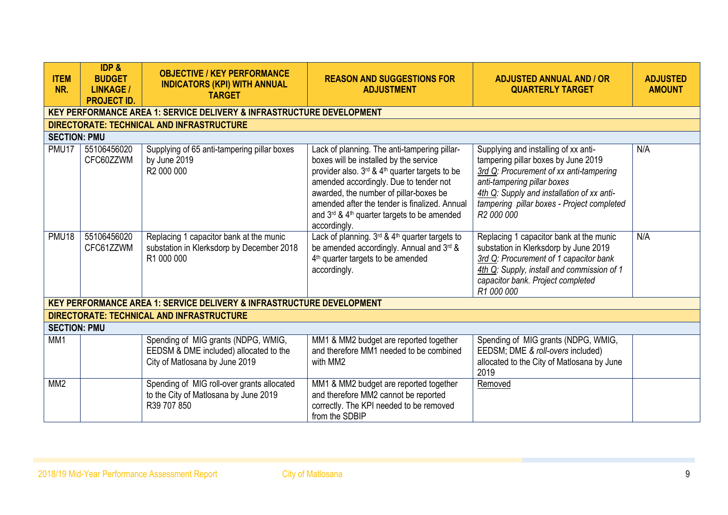| <b>ITEM</b><br>NR.  | <b>IDP &amp;</b><br><b>BUDGET</b><br><b>LINKAGE /</b><br><b>PROJECT ID.</b> | <b>OBJECTIVE / KEY PERFORMANCE</b><br><b>INDICATORS (KPI) WITH ANNUAL</b><br><b>TARGET</b>                      | <b>REASON AND SUGGESTIONS FOR</b><br><b>ADJUSTMENT</b>                                                                                                                                                                                                                                                                                                   | <b>ADJUSTED ANNUAL AND / OR</b><br><b>QUARTERLY TARGET</b>                                                                                                                                                                                                                  | <b>ADJUSTED</b><br><b>AMOUNT</b> |
|---------------------|-----------------------------------------------------------------------------|-----------------------------------------------------------------------------------------------------------------|----------------------------------------------------------------------------------------------------------------------------------------------------------------------------------------------------------------------------------------------------------------------------------------------------------------------------------------------------------|-----------------------------------------------------------------------------------------------------------------------------------------------------------------------------------------------------------------------------------------------------------------------------|----------------------------------|
|                     |                                                                             | <b>KEY PERFORMANCE AREA 1: SERVICE DELIVERY &amp; INFRASTRUCTURE DEVELOPMENT</b>                                |                                                                                                                                                                                                                                                                                                                                                          |                                                                                                                                                                                                                                                                             |                                  |
|                     |                                                                             | <b>DIRECTORATE: TECHNICAL AND INFRASTRUCTURE</b>                                                                |                                                                                                                                                                                                                                                                                                                                                          |                                                                                                                                                                                                                                                                             |                                  |
| <b>SECTION: PMU</b> |                                                                             |                                                                                                                 |                                                                                                                                                                                                                                                                                                                                                          |                                                                                                                                                                                                                                                                             |                                  |
| PMU17               | 55106456020<br>CFC60ZZWM                                                    | Supplying of 65 anti-tampering pillar boxes<br>by June 2019<br>R <sub>2</sub> 000 000                           | Lack of planning. The anti-tampering pillar-<br>boxes will be installed by the service<br>provider also. 3rd & 4 <sup>th</sup> quarter targets to be<br>amended accordingly. Due to tender not<br>awarded, the number of pillar-boxes be<br>amended after the tender is finalized. Annual<br>and 3rd & 4th quarter targets to be amended<br>accordingly. | Supplying and installing of xx anti-<br>tampering pillar boxes by June 2019<br>3rd Q: Procurement of xx anti-tampering<br>anti-tampering pillar boxes<br>4th Q: Supply and installation of xx anti-<br>tampering pillar boxes - Project completed<br>R <sub>2</sub> 000 000 | N/A                              |
| <b>PMU18</b>        | 55106456020<br>CFC61ZZWM                                                    | Replacing 1 capacitor bank at the munic<br>substation in Klerksdorp by December 2018<br>R1 000 000              | Lack of planning. 3rd & 4th quarter targets to<br>be amended accordingly. Annual and 3rd &<br>4 <sup>th</sup> quarter targets to be amended<br>accordingly.                                                                                                                                                                                              | Replacing 1 capacitor bank at the munic<br>substation in Klerksdorp by June 2019<br>3rd Q: Procurement of 1 capacitor bank<br>4th Q: Supply, install and commission of 1<br>capacitor bank. Project completed<br>R1 000 000                                                 | N/A                              |
|                     |                                                                             | <b>KEY PERFORMANCE AREA 1: SERVICE DELIVERY &amp; INFRASTRUCTURE DEVELOPMENT</b>                                |                                                                                                                                                                                                                                                                                                                                                          |                                                                                                                                                                                                                                                                             |                                  |
|                     |                                                                             | DIRECTORATE: TECHNICAL AND INFRASTRUCTURE                                                                       |                                                                                                                                                                                                                                                                                                                                                          |                                                                                                                                                                                                                                                                             |                                  |
| <b>SECTION: PMU</b> |                                                                             |                                                                                                                 |                                                                                                                                                                                                                                                                                                                                                          |                                                                                                                                                                                                                                                                             |                                  |
| MM1                 |                                                                             | Spending of MIG grants (NDPG, WMIG,<br>EEDSM & DME included) allocated to the<br>City of Matlosana by June 2019 | MM1 & MM2 budget are reported together<br>and therefore MM1 needed to be combined<br>with MM2                                                                                                                                                                                                                                                            | Spending of MIG grants (NDPG, WMIG,<br>EEDSM; DME & roll-overs included)<br>allocated to the City of Matlosana by June<br>2019                                                                                                                                              |                                  |
| MM <sub>2</sub>     |                                                                             | Spending of MIG roll-over grants allocated<br>to the City of Matlosana by June 2019<br>R39 707 850              | MM1 & MM2 budget are reported together<br>and therefore MM2 cannot be reported<br>correctly. The KPI needed to be removed<br>from the SDBIP                                                                                                                                                                                                              | Removed                                                                                                                                                                                                                                                                     |                                  |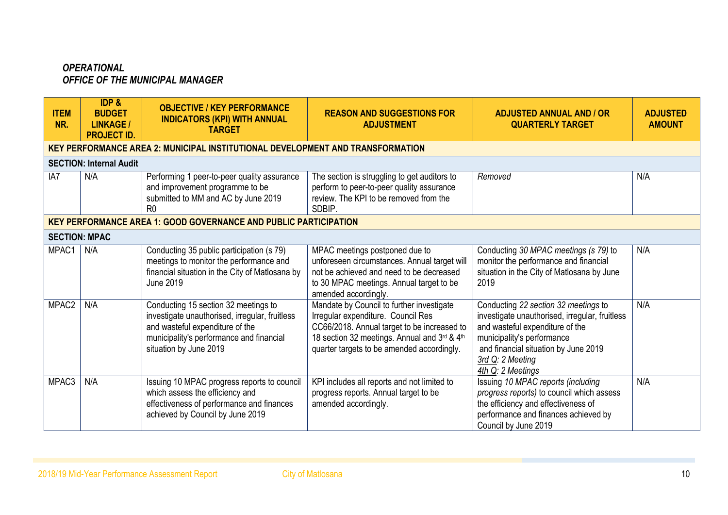### *OPERATIONAL OFFICE OF THE MUNICIPAL MANAGER*

| <b>ITEM</b><br>NR.   | <b>IDP &amp;</b><br><b>BUDGET</b><br><b>LINKAGE /</b><br><b>PROJECT ID.</b> | <b>OBJECTIVE / KEY PERFORMANCE</b><br><b>INDICATORS (KPI) WITH ANNUAL</b><br><b>TARGET</b>                                                                                                      | <b>REASON AND SUGGESTIONS FOR</b><br><b>ADJUSTMENT</b>                                                                                                                                                                       | <b>ADJUSTED ANNUAL AND / OR</b><br><b>QUARTERLY TARGET</b>                                                                                                                                                                               | <b>ADJUSTED</b><br><b>AMOUNT</b> |
|----------------------|-----------------------------------------------------------------------------|-------------------------------------------------------------------------------------------------------------------------------------------------------------------------------------------------|------------------------------------------------------------------------------------------------------------------------------------------------------------------------------------------------------------------------------|------------------------------------------------------------------------------------------------------------------------------------------------------------------------------------------------------------------------------------------|----------------------------------|
|                      |                                                                             | <b>KEY PERFORMANCE AREA 2: MUNICIPAL INSTITUTIONAL DEVELOPMENT AND TRANSFORMATION</b>                                                                                                           |                                                                                                                                                                                                                              |                                                                                                                                                                                                                                          |                                  |
|                      | <b>SECTION: Internal Audit</b>                                              |                                                                                                                                                                                                 |                                                                                                                                                                                                                              |                                                                                                                                                                                                                                          |                                  |
| IA7                  | N/A                                                                         | Performing 1 peer-to-peer quality assurance<br>and improvement programme to be<br>submitted to MM and AC by June 2019<br>R <sub>0</sub>                                                         | The section is struggling to get auditors to<br>perform to peer-to-peer quality assurance<br>review. The KPI to be removed from the<br>SDBIP.                                                                                | Removed                                                                                                                                                                                                                                  | N/A                              |
|                      |                                                                             | <b>KEY PERFORMANCE AREA 1: GOOD GOVERNANCE AND PUBLIC PARTICIPATION</b>                                                                                                                         |                                                                                                                                                                                                                              |                                                                                                                                                                                                                                          |                                  |
| <b>SECTION: MPAC</b> |                                                                             |                                                                                                                                                                                                 |                                                                                                                                                                                                                              |                                                                                                                                                                                                                                          |                                  |
| MPAC1                | N/A                                                                         | Conducting 35 public participation (s 79)<br>meetings to monitor the performance and<br>financial situation in the City of Matlosana by<br><b>June 2019</b>                                     | MPAC meetings postponed due to<br>unforeseen circumstances. Annual target will<br>not be achieved and need to be decreased<br>to 30 MPAC meetings. Annual target to be<br>amended accordingly.                               | Conducting 30 MPAC meetings (s 79) to<br>monitor the performance and financial<br>situation in the City of Matlosana by June<br>2019                                                                                                     | N/A                              |
| MPAC2                | N/A                                                                         | Conducting 15 section 32 meetings to<br>investigate unauthorised, irregular, fruitless<br>and wasteful expenditure of the<br>municipality's performance and financial<br>situation by June 2019 | Mandate by Council to further investigate<br>Irregular expenditure. Council Res<br>CC66/2018. Annual target to be increased to<br>18 section 32 meetings. Annual and 3rd & 4th<br>quarter targets to be amended accordingly. | Conducting 22 section 32 meetings to<br>investigate unauthorised, irregular, fruitless<br>and wasteful expenditure of the<br>municipality's performance<br>and financial situation by June 2019<br>3rd Q: 2 Meeting<br>4th Q: 2 Meetings | N/A                              |
| MPAC <sub>3</sub>    | N/A                                                                         | Issuing 10 MPAC progress reports to council<br>which assess the efficiency and<br>effectiveness of performance and finances<br>achieved by Council by June 2019                                 | KPI includes all reports and not limited to<br>progress reports. Annual target to be<br>amended accordingly.                                                                                                                 | Issuing 10 MPAC reports (including<br>progress reports) to council which assess<br>the efficiency and effectiveness of<br>performance and finances achieved by<br>Council by June 2019                                                   | N/A                              |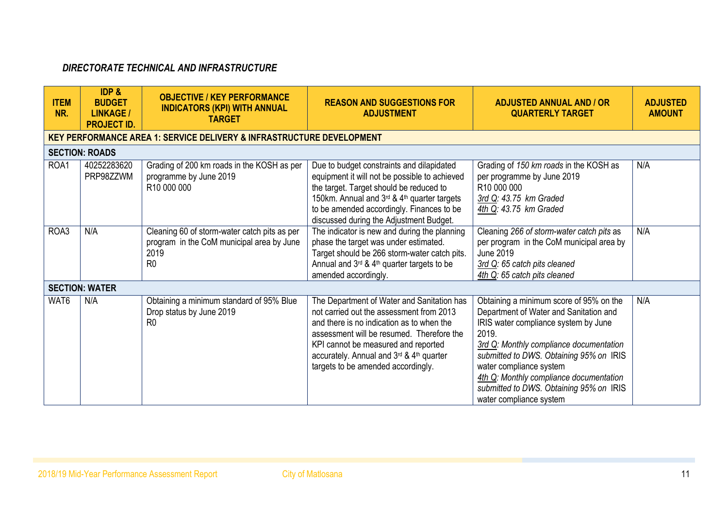# *DIRECTORATE TECHNICAL AND INFRASTRUCTURE*

| <b>ITEM</b><br>NR. | <b>IDP &amp;</b><br><b>BUDGET</b><br><b>LINKAGE /</b><br><b>PROJECT ID.</b> | <b>OBJECTIVE / KEY PERFORMANCE</b><br><b>INDICATORS (KPI) WITH ANNUAL</b><br><b>TARGET</b>                          | <b>REASON AND SUGGESTIONS FOR</b><br><b>ADJUSTMENT</b>                                                                                                                                                                                                                                                    | <b>ADJUSTED ANNUAL AND / OR</b><br><b>QUARTERLY TARGET</b>                                                                                                                                                                                                                                                                                                           | <b>ADJUSTED</b><br><b>AMOUNT</b> |
|--------------------|-----------------------------------------------------------------------------|---------------------------------------------------------------------------------------------------------------------|-----------------------------------------------------------------------------------------------------------------------------------------------------------------------------------------------------------------------------------------------------------------------------------------------------------|----------------------------------------------------------------------------------------------------------------------------------------------------------------------------------------------------------------------------------------------------------------------------------------------------------------------------------------------------------------------|----------------------------------|
|                    |                                                                             | <b>KEY PERFORMANCE AREA 1: SERVICE DELIVERY &amp; INFRASTRUCTURE DEVELOPMENT</b>                                    |                                                                                                                                                                                                                                                                                                           |                                                                                                                                                                                                                                                                                                                                                                      |                                  |
|                    | <b>SECTION: ROADS</b>                                                       |                                                                                                                     |                                                                                                                                                                                                                                                                                                           |                                                                                                                                                                                                                                                                                                                                                                      |                                  |
| ROA1               | 40252283620<br>PRP98ZZWM                                                    | Grading of 200 km roads in the KOSH as per<br>programme by June 2019<br>R10 000 000                                 | Due to budget constraints and dilapidated<br>equipment it will not be possible to achieved<br>the target. Target should be reduced to<br>150km. Annual and 3rd & 4th quarter targets<br>to be amended accordingly. Finances to be<br>discussed during the Adjustment Budget.                              | Grading of 150 km roads in the KOSH as<br>per programme by June 2019<br>R10 000 000<br>3rd Q: 43.75 km Graded<br>4th Q: 43.75 km Graded                                                                                                                                                                                                                              | N/A                              |
| ROA3               | N/A                                                                         | Cleaning 60 of storm-water catch pits as per<br>program in the CoM municipal area by June<br>2019<br>R <sub>0</sub> | The indicator is new and during the planning<br>phase the target was under estimated.<br>Target should be 266 storm-water catch pits.<br>Annual and 3rd & 4th quarter targets to be<br>amended accordingly.                                                                                               | Cleaning 266 of storm-water catch pits as<br>per program in the CoM municipal area by<br>June 2019<br>3rd Q: 65 catch pits cleaned<br>4th Q: 65 catch pits cleaned                                                                                                                                                                                                   | N/A                              |
|                    | <b>SECTION: WATER</b>                                                       |                                                                                                                     |                                                                                                                                                                                                                                                                                                           |                                                                                                                                                                                                                                                                                                                                                                      |                                  |
| WAT6               | N/A                                                                         | Obtaining a minimum standard of 95% Blue<br>Drop status by June 2019<br>R <sub>0</sub>                              | The Department of Water and Sanitation has<br>not carried out the assessment from 2013<br>and there is no indication as to when the<br>assessment will be resumed. Therefore the<br>KPI cannot be measured and reported<br>accurately. Annual and 3rd & 4th quarter<br>targets to be amended accordingly. | Obtaining a minimum score of 95% on the<br>Department of Water and Sanitation and<br>IRIS water compliance system by June<br>2019.<br>3rd Q: Monthly compliance documentation<br>submitted to DWS. Obtaining 95% on IRIS<br>water compliance system<br>4th Q: Monthly compliance documentation<br>submitted to DWS. Obtaining 95% on IRIS<br>water compliance system | N/A                              |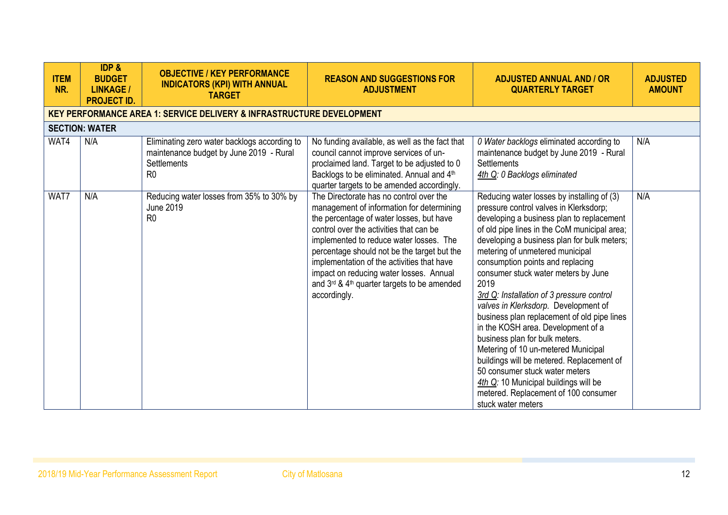| <b>ITEM</b><br>NR. | <b>IDP &amp;</b><br><b>BUDGET</b><br><b>LINKAGE /</b><br><b>PROJECT ID.</b> | <b>OBJECTIVE / KEY PERFORMANCE</b><br><b>INDICATORS (KPI) WITH ANNUAL</b><br><b>TARGET</b>                                      | <b>REASON AND SUGGESTIONS FOR</b><br><b>ADJUSTMENT</b>                                                                                                                                                                                                                                                                                                                                                                        | <b>ADJUSTED ANNUAL AND / OR</b><br><b>QUARTERLY TARGET</b>                                                                                                                                                                                                                                                                                                                                                                                                                                                                                                                                                                                                                                                                                                                                      | <b>ADJUSTED</b><br><b>AMOUNT</b> |
|--------------------|-----------------------------------------------------------------------------|---------------------------------------------------------------------------------------------------------------------------------|-------------------------------------------------------------------------------------------------------------------------------------------------------------------------------------------------------------------------------------------------------------------------------------------------------------------------------------------------------------------------------------------------------------------------------|-------------------------------------------------------------------------------------------------------------------------------------------------------------------------------------------------------------------------------------------------------------------------------------------------------------------------------------------------------------------------------------------------------------------------------------------------------------------------------------------------------------------------------------------------------------------------------------------------------------------------------------------------------------------------------------------------------------------------------------------------------------------------------------------------|----------------------------------|
|                    |                                                                             | <b>KEY PERFORMANCE AREA 1: SERVICE DELIVERY &amp; INFRASTRUCTURE DEVELOPMENT</b>                                                |                                                                                                                                                                                                                                                                                                                                                                                                                               |                                                                                                                                                                                                                                                                                                                                                                                                                                                                                                                                                                                                                                                                                                                                                                                                 |                                  |
|                    | <b>SECTION: WATER</b>                                                       |                                                                                                                                 |                                                                                                                                                                                                                                                                                                                                                                                                                               |                                                                                                                                                                                                                                                                                                                                                                                                                                                                                                                                                                                                                                                                                                                                                                                                 |                                  |
| WAT4               | N/A                                                                         | Eliminating zero water backlogs according to<br>maintenance budget by June 2019 - Rural<br><b>Settlements</b><br>R <sub>0</sub> | No funding available, as well as the fact that<br>council cannot improve services of un-<br>proclaimed land. Target to be adjusted to 0<br>Backlogs to be eliminated. Annual and 4th<br>quarter targets to be amended accordingly.                                                                                                                                                                                            | 0 Water backlogs eliminated according to<br>maintenance budget by June 2019 - Rural<br><b>Settlements</b><br>4th Q: 0 Backlogs eliminated                                                                                                                                                                                                                                                                                                                                                                                                                                                                                                                                                                                                                                                       | N/A                              |
| WAT7               | N/A                                                                         | Reducing water losses from 35% to 30% by<br><b>June 2019</b><br>R <sub>0</sub>                                                  | The Directorate has no control over the<br>management of information for determining<br>the percentage of water losses, but have<br>control over the activities that can be<br>implemented to reduce water losses. The<br>percentage should not be the target but the<br>implementation of the activities that have<br>impact on reducing water losses. Annual<br>and 3rd & 4th quarter targets to be amended<br>accordingly. | Reducing water losses by installing of (3)<br>pressure control valves in Klerksdorp;<br>developing a business plan to replacement<br>of old pipe lines in the CoM municipal area;<br>developing a business plan for bulk meters;<br>metering of unmetered municipal<br>consumption points and replacing<br>consumer stuck water meters by June<br>2019<br>3rd Q: Installation of 3 pressure control<br>valves in Klerksdorp. Development of<br>business plan replacement of old pipe lines<br>in the KOSH area. Development of a<br>business plan for bulk meters.<br>Metering of 10 un-metered Municipal<br>buildings will be metered. Replacement of<br>50 consumer stuck water meters<br>4th Q: 10 Municipal buildings will be<br>metered. Replacement of 100 consumer<br>stuck water meters | N/A                              |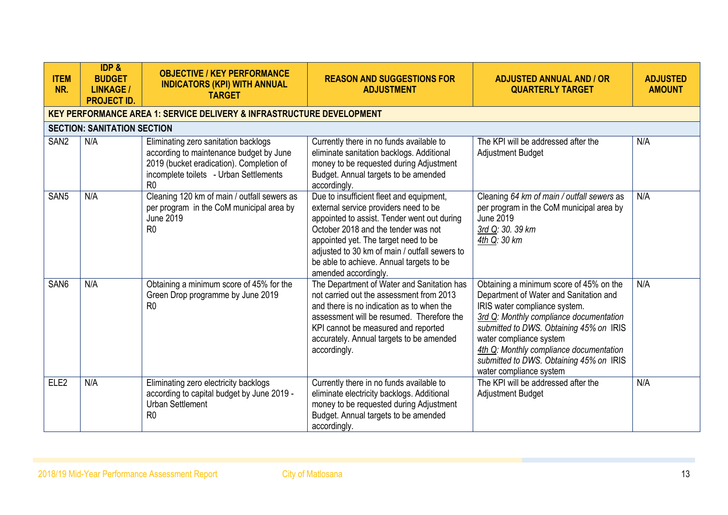| <b>ITEM</b><br>NR. | <b>IDP &amp;</b><br><b>BUDGET</b><br><b>LINKAGE /</b><br><b>PROJECT ID.</b> | <b>OBJECTIVE / KEY PERFORMANCE</b><br><b>INDICATORS (KPI) WITH ANNUAL</b><br><b>TARGET</b>                                                                                              | <b>REASON AND SUGGESTIONS FOR</b><br><b>ADJUSTMENT</b>                                                                                                                                                                                                                                                                               | <b>ADJUSTED ANNUAL AND / OR</b><br><b>QUARTERLY TARGET</b>                                                                                                                                                                                                                                                                                           | <b>ADJUSTED</b><br><b>AMOUNT</b> |
|--------------------|-----------------------------------------------------------------------------|-----------------------------------------------------------------------------------------------------------------------------------------------------------------------------------------|--------------------------------------------------------------------------------------------------------------------------------------------------------------------------------------------------------------------------------------------------------------------------------------------------------------------------------------|------------------------------------------------------------------------------------------------------------------------------------------------------------------------------------------------------------------------------------------------------------------------------------------------------------------------------------------------------|----------------------------------|
|                    |                                                                             | <b>KEY PERFORMANCE AREA 1: SERVICE DELIVERY &amp; INFRASTRUCTURE DEVELOPMENT</b>                                                                                                        |                                                                                                                                                                                                                                                                                                                                      |                                                                                                                                                                                                                                                                                                                                                      |                                  |
|                    | <b>SECTION: SANITATION SECTION</b>                                          |                                                                                                                                                                                         |                                                                                                                                                                                                                                                                                                                                      |                                                                                                                                                                                                                                                                                                                                                      |                                  |
| SAN <sub>2</sub>   | N/A                                                                         | Eliminating zero sanitation backlogs<br>according to maintenance budget by June<br>2019 (bucket eradication). Completion of<br>incomplete toilets - Urban Settlements<br>R <sub>0</sub> | Currently there in no funds available to<br>eliminate sanitation backlogs. Additional<br>money to be requested during Adjustment<br>Budget. Annual targets to be amended<br>accordingly.                                                                                                                                             | The KPI will be addressed after the<br>Adjustment Budget                                                                                                                                                                                                                                                                                             | N/A                              |
| SAN <sub>5</sub>   | N/A                                                                         | Cleaning 120 km of main / outfall sewers as<br>per program in the CoM municipal area by<br><b>June 2019</b><br>R <sub>0</sub>                                                           | Due to insufficient fleet and equipment,<br>external service providers need to be<br>appointed to assist. Tender went out during<br>October 2018 and the tender was not<br>appointed yet. The target need to be<br>adjusted to 30 km of main / outfall sewers to<br>be able to achieve. Annual targets to be<br>amended accordingly. | Cleaning 64 km of main / outfall sewers as<br>per program in the CoM municipal area by<br><b>June 2019</b><br>3rd Q: 30. 39 km<br>4th Q: 30 km                                                                                                                                                                                                       | N/A                              |
| SAN <sub>6</sub>   | N/A                                                                         | Obtaining a minimum score of 45% for the<br>Green Drop programme by June 2019<br>R <sub>0</sub>                                                                                         | The Department of Water and Sanitation has<br>not carried out the assessment from 2013<br>and there is no indication as to when the<br>assessment will be resumed. Therefore the<br>KPI cannot be measured and reported<br>accurately. Annual targets to be amended<br>accordingly.                                                  | Obtaining a minimum score of 45% on the<br>Department of Water and Sanitation and<br>IRIS water compliance system.<br>3rd Q: Monthly compliance documentation<br>submitted to DWS. Obtaining 45% on IRIS<br>water compliance system<br>4th Q: Monthly compliance documentation<br>submitted to DWS. Obtaining 45% on IRIS<br>water compliance system | N/A                              |
| ELE <sub>2</sub>   | N/A                                                                         | Eliminating zero electricity backlogs<br>according to capital budget by June 2019 -<br><b>Urban Settlement</b><br>R <sub>0</sub>                                                        | Currently there in no funds available to<br>eliminate electricity backlogs. Additional<br>money to be requested during Adjustment<br>Budget. Annual targets to be amended<br>accordingly.                                                                                                                                            | The KPI will be addressed after the<br>Adjustment Budget                                                                                                                                                                                                                                                                                             | N/A                              |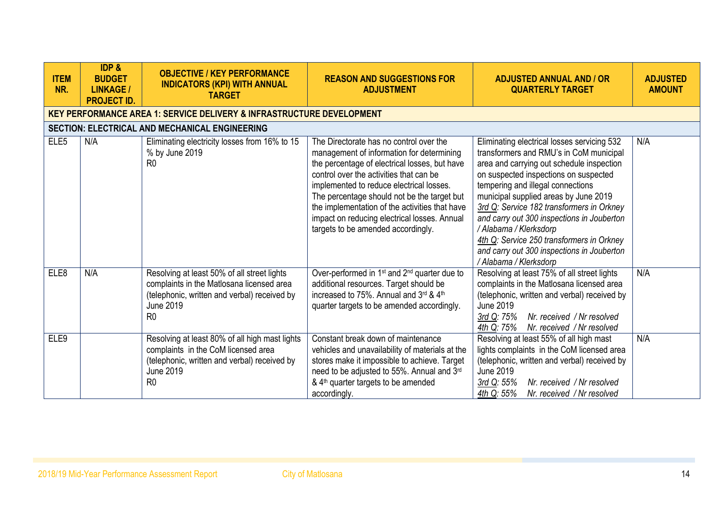| <b>ITEM</b><br>NR. | <b>IDP &amp;</b><br><b>BUDGET</b><br><b>LINKAGE /</b><br><b>PROJECT ID.</b> | <b>OBJECTIVE / KEY PERFORMANCE</b><br><b>INDICATORS (KPI) WITH ANNUAL</b><br><b>TARGET</b>                                                                                  | <b>REASON AND SUGGESTIONS FOR</b><br><b>ADJUSTMENT</b>                                                                                                                                                                                                                                                                                                                                                              | <b>ADJUSTED ANNUAL AND / OR</b><br><b>QUARTERLY TARGET</b>                                                                                                                                                                                                                                                                                                                                                                                                                                           | <b>ADJUSTED</b><br><b>AMOUNT</b> |
|--------------------|-----------------------------------------------------------------------------|-----------------------------------------------------------------------------------------------------------------------------------------------------------------------------|---------------------------------------------------------------------------------------------------------------------------------------------------------------------------------------------------------------------------------------------------------------------------------------------------------------------------------------------------------------------------------------------------------------------|------------------------------------------------------------------------------------------------------------------------------------------------------------------------------------------------------------------------------------------------------------------------------------------------------------------------------------------------------------------------------------------------------------------------------------------------------------------------------------------------------|----------------------------------|
|                    |                                                                             | <b>KEY PERFORMANCE AREA 1: SERVICE DELIVERY &amp; INFRASTRUCTURE DEVELOPMENT</b>                                                                                            |                                                                                                                                                                                                                                                                                                                                                                                                                     |                                                                                                                                                                                                                                                                                                                                                                                                                                                                                                      |                                  |
|                    |                                                                             | SECTION: ELECTRICAL AND MECHANICAL ENGINEERING                                                                                                                              |                                                                                                                                                                                                                                                                                                                                                                                                                     |                                                                                                                                                                                                                                                                                                                                                                                                                                                                                                      |                                  |
| ELE <sub>5</sub>   | N/A                                                                         | Eliminating electricity losses from 16% to 15<br>% by June 2019<br>R <sub>0</sub>                                                                                           | The Directorate has no control over the<br>management of information for determining<br>the percentage of electrical losses, but have<br>control over the activities that can be<br>implemented to reduce electrical losses.<br>The percentage should not be the target but<br>the implementation of the activities that have<br>impact on reducing electrical losses. Annual<br>targets to be amended accordingly. | Eliminating electrical losses servicing 532<br>transformers and RMU's in CoM municipal<br>area and carrying out schedule inspection<br>on suspected inspections on suspected<br>tempering and illegal connections<br>municipal supplied areas by June 2019<br>3rd Q: Service 182 transformers in Orkney<br>and carry out 300 inspections in Jouberton<br>/ Alabama / Klerksdorp<br>4th Q: Service 250 transformers in Orkney<br>and carry out 300 inspections in Jouberton<br>/ Alabama / Klerksdorp | N/A                              |
| ELE8               | N/A                                                                         | Resolving at least 50% of all street lights<br>complaints in the Matlosana licensed area<br>(telephonic, written and verbal) received by<br>June 2019<br>R <sub>0</sub>     | Over-performed in 1 <sup>st</sup> and 2 <sup>nd</sup> quarter due to<br>additional resources. Target should be<br>increased to 75%. Annual and 3rd & 4th<br>quarter targets to be amended accordingly.                                                                                                                                                                                                              | Resolving at least 75% of all street lights<br>complaints in the Matlosana licensed area<br>(telephonic, written and verbal) received by<br>June 2019<br>Nr. received / Nr resolved<br>3rd Q: 75%<br>4th Q: 75%<br>Nr. received / Nr resolved                                                                                                                                                                                                                                                        | N/A                              |
| ELE <sub>9</sub>   |                                                                             | Resolving at least 80% of all high mast lights<br>complaints in the CoM licensed area<br>(telephonic, written and verbal) received by<br><b>June 2019</b><br>R <sub>0</sub> | Constant break down of maintenance<br>vehicles and unavailability of materials at the<br>stores make it impossible to achieve. Target<br>need to be adjusted to 55%. Annual and 3rd<br>& 4 <sup>th</sup> quarter targets to be amended<br>accordingly.                                                                                                                                                              | Resolving at least 55% of all high mast<br>lights complaints in the CoM licensed area<br>(telephonic, written and verbal) received by<br><b>June 2019</b><br>Nr. received / Nr resolved<br>3rd Q: 55%<br>4th Q: 55%<br>Nr. received / Nr resolved                                                                                                                                                                                                                                                    | N/A                              |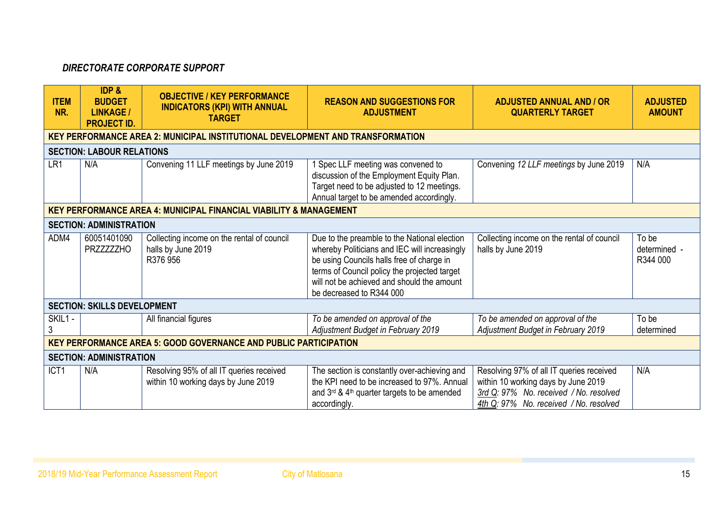# *DIRECTORATE CORPORATE SUPPORT*

| <b>ITEM</b><br>NR. | <b>IDP &amp;</b><br><b>BUDGET</b><br><b>LINKAGE /</b><br><b>PROJECT ID.</b> | <b>OBJECTIVE / KEY PERFORMANCE</b><br><b>INDICATORS (KPI) WITH ANNUAL</b><br><b>TARGET</b> | <b>REASON AND SUGGESTIONS FOR</b><br><b>ADJUSTMENT</b>                                                                                                                                                                                                               | <b>ADJUSTED ANNUAL AND / OR</b><br><b>QUARTERLY TARGET</b>                                                                                                          | <b>ADJUSTED</b><br><b>AMOUNT</b>  |
|--------------------|-----------------------------------------------------------------------------|--------------------------------------------------------------------------------------------|----------------------------------------------------------------------------------------------------------------------------------------------------------------------------------------------------------------------------------------------------------------------|---------------------------------------------------------------------------------------------------------------------------------------------------------------------|-----------------------------------|
|                    |                                                                             | <b>KEY PERFORMANCE AREA 2: MUNICIPAL INSTITUTIONAL DEVELOPMENT AND TRANSFORMATION</b>      |                                                                                                                                                                                                                                                                      |                                                                                                                                                                     |                                   |
|                    | <b>SECTION: LABOUR RELATIONS</b>                                            |                                                                                            |                                                                                                                                                                                                                                                                      |                                                                                                                                                                     |                                   |
| LR1                | N/A                                                                         | Convening 11 LLF meetings by June 2019                                                     | 1 Spec LLF meeting was convened to<br>discussion of the Employment Equity Plan.<br>Target need to be adjusted to 12 meetings.<br>Annual target to be amended accordingly.                                                                                            | Convening 12 LLF meetings by June 2019                                                                                                                              | N/A                               |
|                    |                                                                             | <b>KEY PERFORMANCE AREA 4: MUNICIPAL FINANCIAL VIABILITY &amp; MANAGEMENT</b>              |                                                                                                                                                                                                                                                                      |                                                                                                                                                                     |                                   |
|                    | <b>SECTION: ADMINISTRATION</b>                                              |                                                                                            |                                                                                                                                                                                                                                                                      |                                                                                                                                                                     |                                   |
| ADM4               | 60051401090<br><b>PRZZZZZZHO</b>                                            | Collecting income on the rental of council<br>halls by June 2019<br>R376 956               | Due to the preamble to the National election<br>whereby Politicians and IEC will increasingly<br>be using Councils halls free of charge in<br>terms of Council policy the projected target<br>will not be achieved and should the amount<br>be decreased to R344 000 | Collecting income on the rental of council<br>halls by June 2019                                                                                                    | To be<br>determined -<br>R344 000 |
|                    | <b>SECTION: SKILLS DEVELOPMENT</b>                                          |                                                                                            |                                                                                                                                                                                                                                                                      |                                                                                                                                                                     |                                   |
| SKIL1 -<br>3       |                                                                             | All financial figures                                                                      | To be amended on approval of the<br>Adjustment Budget in February 2019                                                                                                                                                                                               | To be amended on approval of the<br>Adjustment Budget in February 2019                                                                                              | To be<br>determined               |
|                    |                                                                             | <b>KEY PERFORMANCE AREA 5: GOOD GOVERNANCE AND PUBLIC PARTICIPATION</b>                    |                                                                                                                                                                                                                                                                      |                                                                                                                                                                     |                                   |
|                    | <b>SECTION: ADMINISTRATION</b>                                              |                                                                                            |                                                                                                                                                                                                                                                                      |                                                                                                                                                                     |                                   |
| ICT <sub>1</sub>   | N/A                                                                         | Resolving 95% of all IT queries received<br>within 10 working days by June 2019            | The section is constantly over-achieving and<br>the KPI need to be increased to 97%. Annual<br>and $3^{rd}$ & 4 <sup>th</sup> quarter targets to be amended<br>accordingly.                                                                                          | Resolving 97% of all IT queries received<br>within 10 working days by June 2019<br>3rd Q: 97% No. received / No. resolved<br>4th Q: 97% No. received / No. resolved | N/A                               |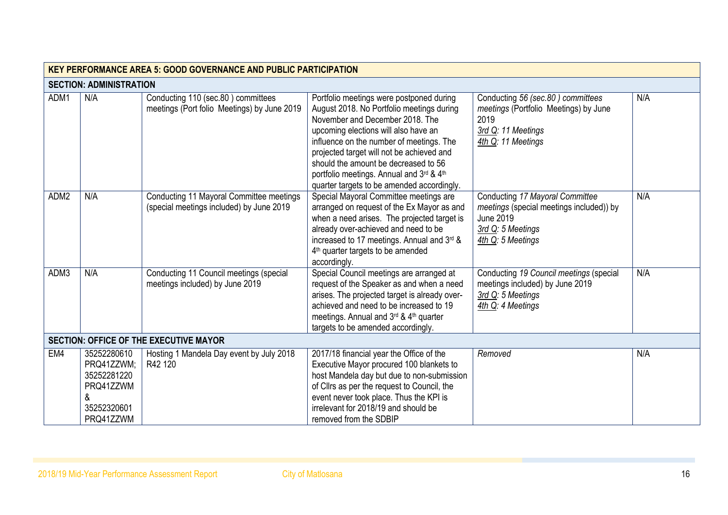|      | <b>KEY PERFORMANCE AREA 5: GOOD GOVERNANCE AND PUBLIC PARTICIPATION</b>                |                                                                                      |                                                                                                                                                                                                                                                                                                                                                                                             |                                                                                                                                           |     |  |  |
|------|----------------------------------------------------------------------------------------|--------------------------------------------------------------------------------------|---------------------------------------------------------------------------------------------------------------------------------------------------------------------------------------------------------------------------------------------------------------------------------------------------------------------------------------------------------------------------------------------|-------------------------------------------------------------------------------------------------------------------------------------------|-----|--|--|
|      | <b>SECTION: ADMINISTRATION</b>                                                         |                                                                                      |                                                                                                                                                                                                                                                                                                                                                                                             |                                                                                                                                           |     |  |  |
| ADM1 | N/A                                                                                    | Conducting 110 (sec.80) committees<br>meetings (Port folio Meetings) by June 2019    | Portfolio meetings were postponed during<br>August 2018. No Portfolio meetings during<br>November and December 2018. The<br>upcoming elections will also have an<br>influence on the number of meetings. The<br>projected target will not be achieved and<br>should the amount be decreased to 56<br>portfolio meetings. Annual and 3rd & 4th<br>quarter targets to be amended accordingly. | Conducting 56 (sec.80) committees<br>meetings (Portfolio Meetings) by June<br>2019<br>3rd Q: 11 Meetings<br>4th Q: 11 Meetings            | N/A |  |  |
| ADM2 | N/A                                                                                    | Conducting 11 Mayoral Committee meetings<br>(special meetings included) by June 2019 | Special Mayoral Committee meetings are<br>arranged on request of the Ex Mayor as and<br>when a need arises. The projected target is<br>already over-achieved and need to be<br>increased to 17 meetings. Annual and 3rd &<br>4 <sup>th</sup> quarter targets to be amended<br>accordingly.                                                                                                  | Conducting 17 Mayoral Committee<br>meetings (special meetings included)) by<br><b>June 2019</b><br>3rd Q: 5 Meetings<br>4th Q: 5 Meetings | N/A |  |  |
| ADM3 | N/A                                                                                    | Conducting 11 Council meetings (special<br>meetings included) by June 2019           | Special Council meetings are arranged at<br>request of the Speaker as and when a need<br>arises. The projected target is already over-<br>achieved and need to be increased to 19<br>meetings. Annual and 3rd & 4th quarter<br>targets to be amended accordingly.                                                                                                                           | Conducting 19 Council meetings (special<br>meetings included) by June 2019<br>3rd Q: 5 Meetings<br>4th Q: 4 Meetings                      | N/A |  |  |
|      |                                                                                        | <b>SECTION: OFFICE OF THE EXECUTIVE MAYOR</b>                                        |                                                                                                                                                                                                                                                                                                                                                                                             |                                                                                                                                           |     |  |  |
| EM4  | 35252280610<br>PRQ41ZZWM;<br>35252281220<br>PRQ41ZZWM<br>&<br>35252320601<br>PRQ41ZZWM | Hosting 1 Mandela Day event by July 2018<br>R42 120                                  | 2017/18 financial year the Office of the<br>Executive Mayor procured 100 blankets to<br>host Mandela day but due to non-submission<br>of Cllrs as per the request to Council, the<br>event never took place. Thus the KPI is<br>irrelevant for 2018/19 and should be<br>removed from the SDBIP                                                                                              | Removed                                                                                                                                   | N/A |  |  |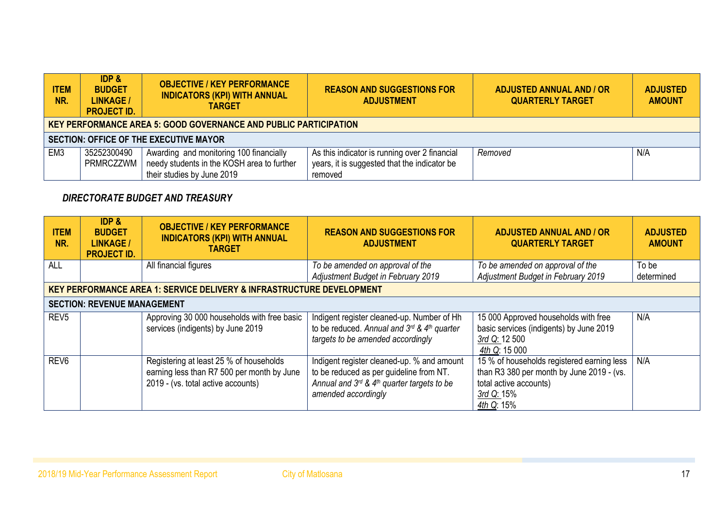| <b>ITEM</b><br>NR. | <b>IDP &amp;</b><br><b>BUDGET</b><br><b>LINKAGE /</b><br><b>PROJECT ID.</b> | <b>OBJECTIVE / KEY PERFORMANCE</b><br><b>INDICATORS (KPI) WITH ANNUAL</b><br><b>TARGET</b>                          | <b>REASON AND SUGGESTIONS FOR</b><br><b>ADJUSTMENT</b>                                                   | <b>ADJUSTED ANNUAL AND / OR</b><br><b>QUARTERLY TARGET</b> | <b>ADJUSTED</b><br><b>AMOUNT</b> |  |  |  |
|--------------------|-----------------------------------------------------------------------------|---------------------------------------------------------------------------------------------------------------------|----------------------------------------------------------------------------------------------------------|------------------------------------------------------------|----------------------------------|--|--|--|
|                    | <b>KEY PERFORMANCE AREA 5: GOOD GOVERNANCE AND PUBLIC PARTICIPATION</b>     |                                                                                                                     |                                                                                                          |                                                            |                                  |  |  |  |
|                    |                                                                             | <b>SECTION: OFFICE OF THE EXECUTIVE MAYOR</b>                                                                       |                                                                                                          |                                                            |                                  |  |  |  |
| EM <sub>3</sub>    | 35252300490<br>PRMRCZZWM                                                    | Awarding and monitoring 100 financially<br>needy students in the KOSH area to further<br>their studies by June 2019 | As this indicator is running over 2 financial<br>years, it is suggested that the indicator be<br>removed | Removed                                                    | N/A                              |  |  |  |

# *DIRECTORATE BUDGET AND TREASURY*

| <b>ITEM</b><br>NR. | <b>IDP &amp;</b><br><b>BUDGET</b><br><b>LINKAGE /</b><br><b>PROJECT ID.</b> | <b>OBJECTIVE / KEY PERFORMANCE</b><br><b>INDICATORS (KPI) WITH ANNUAL</b><br><b>TARGET</b>                                  | <b>REASON AND SUGGESTIONS FOR</b><br><b>ADJUSTMENT</b>                                                                                                                      | <b>ADJUSTED ANNUAL AND / OR</b><br><b>QUARTERLY TARGET</b>                                                                                    | <b>ADJUSTED</b><br><b>AMOUNT</b> |
|--------------------|-----------------------------------------------------------------------------|-----------------------------------------------------------------------------------------------------------------------------|-----------------------------------------------------------------------------------------------------------------------------------------------------------------------------|-----------------------------------------------------------------------------------------------------------------------------------------------|----------------------------------|
| <b>ALL</b>         |                                                                             | All financial figures                                                                                                       | To be amended on approval of the<br>Adjustment Budget in February 2019                                                                                                      | To be amended on approval of the<br>Adjustment Budget in February 2019                                                                        | To be<br>determined              |
|                    |                                                                             | <b>KEY PERFORMANCE AREA 1: SERVICE DELIVERY &amp; INFRASTRUCTURE DEVELOPMENT</b>                                            |                                                                                                                                                                             |                                                                                                                                               |                                  |
|                    | <b>SECTION: REVENUE MANAGEMENT</b>                                          |                                                                                                                             |                                                                                                                                                                             |                                                                                                                                               |                                  |
| REV <sub>5</sub>   |                                                                             | Approving 30 000 households with free basic<br>services (indigents) by June 2019                                            | Indigent register cleaned-up. Number of Hh<br>to be reduced. Annual and $3^{rd}$ & $4^{th}$ quarter<br>targets to be amended accordingly                                    | 15 000 Approved households with free<br>basic services (indigents) by June 2019<br>3rd Q: 12 500<br>4th Q: 15 000                             | N/A                              |
| REV <sub>6</sub>   |                                                                             | Registering at least 25 % of households<br>earning less than R7 500 per month by June<br>2019 - (vs. total active accounts) | Indigent register cleaned-up. % and amount<br>to be reduced as per guideline from NT.<br>Annual and $3^{rd}$ & 4 <sup>th</sup> quarter targets to be<br>amended accordingly | 15 % of households registered earning less<br>than R3 380 per month by June 2019 - (vs.<br>total active accounts)<br>3rd Q: 15%<br>4th Q: 15% | N/A                              |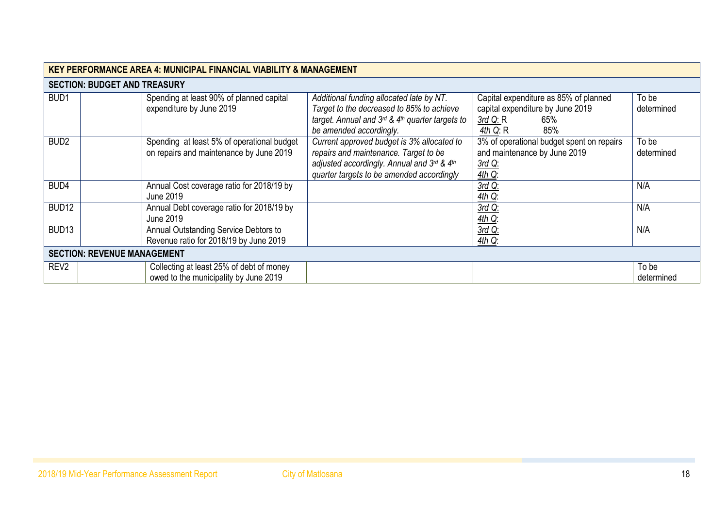|                   | <b>KEY PERFORMANCE AREA 4: MUNICIPAL FINANCIAL VIABILITY &amp; MANAGEMENT</b>         |                                                                                                                                                                                      |                                                                                                                     |                     |  |  |  |  |
|-------------------|---------------------------------------------------------------------------------------|--------------------------------------------------------------------------------------------------------------------------------------------------------------------------------------|---------------------------------------------------------------------------------------------------------------------|---------------------|--|--|--|--|
|                   | <b>SECTION: BUDGET AND TREASURY</b>                                                   |                                                                                                                                                                                      |                                                                                                                     |                     |  |  |  |  |
| BUD <sub>1</sub>  | Spending at least 90% of planned capital<br>expenditure by June 2019                  | Additional funding allocated late by NT.<br>Target to the decreased to 85% to achieve<br>target. Annual and $3^{rd}$ & 4 <sup>th</sup> quarter targets to<br>be amended accordingly. | Capital expenditure as 85% of planned<br>capital expenditure by June 2019<br>$3rd$ Q: R<br>65%<br>4th $Q: R$<br>85% | To be<br>determined |  |  |  |  |
| BUD <sub>2</sub>  | Spending at least 5% of operational budget<br>on repairs and maintenance by June 2019 | Current approved budget is 3% allocated to<br>repairs and maintenance. Target to be<br>adjusted accordingly. Annual and 3rd & 4th<br>quarter targets to be amended accordingly       | 3% of operational budget spent on repairs<br>and maintenance by June 2019<br>3rd Q:<br>$4th$ Q:                     | To be<br>determined |  |  |  |  |
| BUD4              | Annual Cost coverage ratio for 2018/19 by<br>June 2019                                |                                                                                                                                                                                      | 3rd Q:<br>$4th$ Q:                                                                                                  | N/A                 |  |  |  |  |
| BUD <sub>12</sub> | Annual Debt coverage ratio for 2018/19 by<br>June 2019                                |                                                                                                                                                                                      | 3rd Q:<br>$4th$ Q:                                                                                                  | N/A                 |  |  |  |  |
| BUD <sub>13</sub> | Annual Outstanding Service Debtors to<br>Revenue ratio for 2018/19 by June 2019       |                                                                                                                                                                                      | 3rd Q:<br>$4th$ Q:                                                                                                  | N/A                 |  |  |  |  |
|                   | <b>SECTION: REVENUE MANAGEMENT</b>                                                    |                                                                                                                                                                                      |                                                                                                                     |                     |  |  |  |  |
| REV <sub>2</sub>  | Collecting at least 25% of debt of money<br>owed to the municipality by June 2019     |                                                                                                                                                                                      |                                                                                                                     | To be<br>determined |  |  |  |  |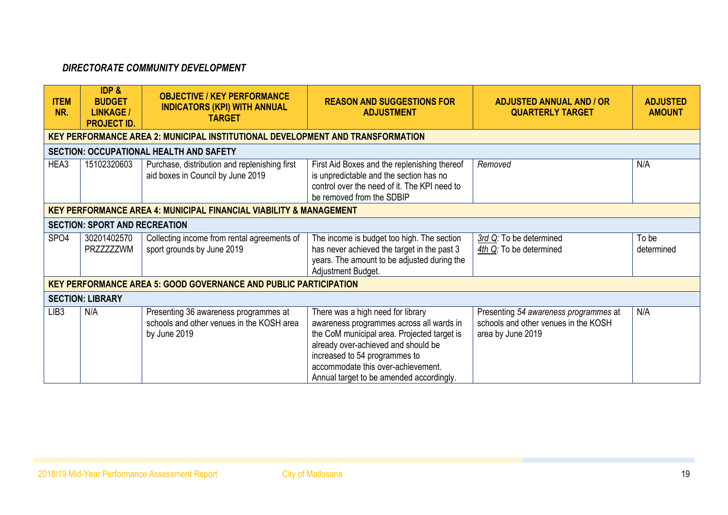# *DIRECTORATE COMMUNITY DEVELOPMENT*

| <b>ITEM</b><br>NR. | <b>IDP &amp;</b><br><b>BUDGET</b><br><b>LINKAGE /</b><br><b>PROJECT ID.</b> | <b>OBJECTIVE / KEY PERFORMANCE</b><br><b>INDICATORS (KPI) WITH ANNUAL</b><br><b>TARGET</b>         | <b>REASON AND SUGGESTIONS FOR</b><br><b>ADJUSTMENT</b>                                                                                                                                                                                                                                 | <b>ADJUSTED ANNUAL AND / OR</b><br><b>QUARTERLY TARGET</b>                                         | <b>ADJUSTED</b><br><b>AMOUNT</b> |
|--------------------|-----------------------------------------------------------------------------|----------------------------------------------------------------------------------------------------|----------------------------------------------------------------------------------------------------------------------------------------------------------------------------------------------------------------------------------------------------------------------------------------|----------------------------------------------------------------------------------------------------|----------------------------------|
|                    |                                                                             | <b>KEY PERFORMANCE AREA 2: MUNICIPAL INSTITUTIONAL DEVELOPMENT AND TRANSFORMATION</b>              |                                                                                                                                                                                                                                                                                        |                                                                                                    |                                  |
|                    |                                                                             | <b>SECTION: OCCUPATIONAL HEALTH AND SAFETY</b>                                                     |                                                                                                                                                                                                                                                                                        |                                                                                                    |                                  |
| HEA3               | 15102320603                                                                 | Purchase, distribution and replenishing first<br>aid boxes in Council by June 2019                 | First Aid Boxes and the replenishing thereof<br>is unpredictable and the section has no<br>control over the need of it. The KPI need to<br>be removed from the SDBIP                                                                                                                   | Removed                                                                                            | N/A                              |
|                    |                                                                             | <b>KEY PERFORMANCE AREA 4: MUNICIPAL FINANCIAL VIABILITY &amp; MANAGEMENT</b>                      |                                                                                                                                                                                                                                                                                        |                                                                                                    |                                  |
|                    | <b>SECTION: SPORT AND RECREATION</b>                                        |                                                                                                    |                                                                                                                                                                                                                                                                                        |                                                                                                    |                                  |
| SPO <sub>4</sub>   | 30201402570<br>PRZZZZZZWM                                                   | Collecting income from rental agreements of<br>sport grounds by June 2019                          | The income is budget too high. The section<br>has never achieved the target in the past 3<br>years. The amount to be adjusted during the<br>Adjustment Budget.                                                                                                                         | 3rd Q: To be determined<br>4th Q: To be determined                                                 | To be<br>determined              |
|                    |                                                                             | <b>KEY PERFORMANCE AREA 5: GOOD GOVERNANCE AND PUBLIC PARTICIPATION</b>                            |                                                                                                                                                                                                                                                                                        |                                                                                                    |                                  |
|                    | <b>SECTION: LIBRARY</b>                                                     |                                                                                                    |                                                                                                                                                                                                                                                                                        |                                                                                                    |                                  |
| LIB <sub>3</sub>   | N/A                                                                         | Presenting 36 awareness programmes at<br>schools and other venues in the KOSH area<br>by June 2019 | There was a high need for library<br>awareness programmes across all wards in<br>the CoM municipal area. Projected target is<br>already over-achieved and should be<br>increased to 54 programmes to<br>accommodate this over-achievement.<br>Annual target to be amended accordingly. | Presenting 54 awareness programmes at<br>schools and other venues in the KOSH<br>area by June 2019 | N/A                              |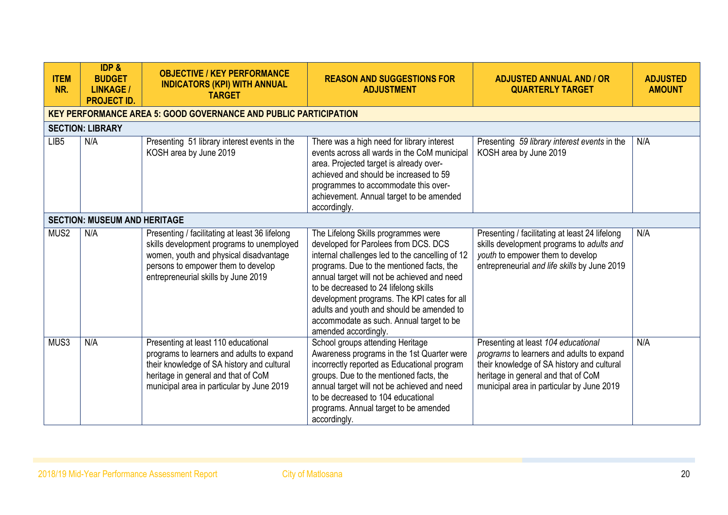| <b>ITEM</b><br>NR. | <b>IDP &amp;</b><br><b>BUDGET</b><br><b>LINKAGE /</b><br><b>PROJECT ID.</b> | <b>OBJECTIVE / KEY PERFORMANCE</b><br><b>INDICATORS (KPI) WITH ANNUAL</b><br><b>TARGET</b>                                                                                                                         | <b>REASON AND SUGGESTIONS FOR</b><br><b>ADJUSTMENT</b>                                                                                                                                                                                                                                                                                                                                                                              | <b>ADJUSTED ANNUAL AND / OR</b><br><b>QUARTERLY TARGET</b>                                                                                                                                                         | <b>ADJUSTED</b><br><b>AMOUNT</b> |
|--------------------|-----------------------------------------------------------------------------|--------------------------------------------------------------------------------------------------------------------------------------------------------------------------------------------------------------------|-------------------------------------------------------------------------------------------------------------------------------------------------------------------------------------------------------------------------------------------------------------------------------------------------------------------------------------------------------------------------------------------------------------------------------------|--------------------------------------------------------------------------------------------------------------------------------------------------------------------------------------------------------------------|----------------------------------|
|                    |                                                                             | <b>KEY PERFORMANCE AREA 5: GOOD GOVERNANCE AND PUBLIC PARTICIPATION</b>                                                                                                                                            |                                                                                                                                                                                                                                                                                                                                                                                                                                     |                                                                                                                                                                                                                    |                                  |
|                    | <b>SECTION: LIBRARY</b>                                                     |                                                                                                                                                                                                                    |                                                                                                                                                                                                                                                                                                                                                                                                                                     |                                                                                                                                                                                                                    |                                  |
| LIB <sub>5</sub>   | N/A                                                                         | Presenting 51 library interest events in the<br>KOSH area by June 2019                                                                                                                                             | There was a high need for library interest<br>events across all wards in the CoM municipal<br>area. Projected target is already over-<br>achieved and should be increased to 59<br>programmes to accommodate this over-<br>achievement. Annual target to be amended<br>accordingly.                                                                                                                                                 | Presenting 59 library interest events in the<br>KOSH area by June 2019                                                                                                                                             | N/A                              |
|                    | <b>SECTION: MUSEUM AND HERITAGE</b>                                         |                                                                                                                                                                                                                    |                                                                                                                                                                                                                                                                                                                                                                                                                                     |                                                                                                                                                                                                                    |                                  |
| MUS <sub>2</sub>   | N/A                                                                         | Presenting / facilitating at least 36 lifelong<br>skills development programs to unemployed<br>women, youth and physical disadvantage<br>persons to empower them to develop<br>entrepreneurial skills by June 2019 | The Lifelong Skills programmes were<br>developed for Parolees from DCS. DCS<br>internal challenges led to the cancelling of 12<br>programs. Due to the mentioned facts, the<br>annual target will not be achieved and need<br>to be decreased to 24 lifelong skills<br>development programs. The KPI cates for all<br>adults and youth and should be amended to<br>accommodate as such. Annual target to be<br>amended accordingly. | Presenting / facilitating at least 24 lifelong<br>skills development programs to adults and<br>youth to empower them to develop<br>entrepreneurial and life skills by June 2019                                    | N/A                              |
| MUS3               | N/A                                                                         | Presenting at least 110 educational<br>programs to learners and adults to expand<br>their knowledge of SA history and cultural<br>heritage in general and that of CoM<br>municipal area in particular by June 2019 | School groups attending Heritage<br>Awareness programs in the 1st Quarter were<br>incorrectly reported as Educational program<br>groups. Due to the mentioned facts, the<br>annual target will not be achieved and need<br>to be decreased to 104 educational<br>programs. Annual target to be amended<br>accordingly.                                                                                                              | Presenting at least 104 educational<br>programs to learners and adults to expand<br>their knowledge of SA history and cultural<br>heritage in general and that of CoM<br>municipal area in particular by June 2019 | N/A                              |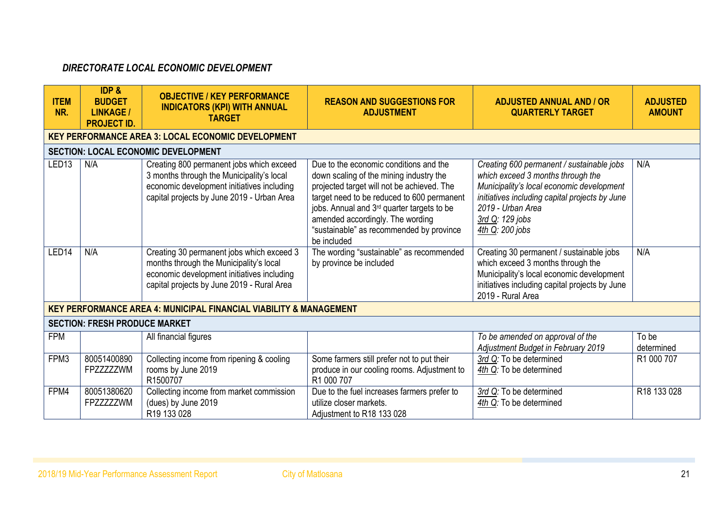# *DIRECTORATE LOCAL ECONOMIC DEVELOPMENT*

| <b>ITEM</b><br>NR. | <b>IDP &amp;</b><br><b>BUDGET</b><br><b>LINKAGE /</b><br><b>PROJECT ID.</b> | <b>OBJECTIVE / KEY PERFORMANCE</b><br><b>INDICATORS (KPI) WITH ANNUAL</b><br><b>TARGET</b>                                                                                        | <b>REASON AND SUGGESTIONS FOR</b><br><b>ADJUSTMENT</b>                                                                                                                                                                                                                                                                     | <b>ADJUSTED ANNUAL AND / OR</b><br><b>QUARTERLY TARGET</b>                                                                                                                                                                               | <b>ADJUSTED</b><br><b>AMOUNT</b> |
|--------------------|-----------------------------------------------------------------------------|-----------------------------------------------------------------------------------------------------------------------------------------------------------------------------------|----------------------------------------------------------------------------------------------------------------------------------------------------------------------------------------------------------------------------------------------------------------------------------------------------------------------------|------------------------------------------------------------------------------------------------------------------------------------------------------------------------------------------------------------------------------------------|----------------------------------|
|                    |                                                                             | <b>KEY PERFORMANCE AREA 3: LOCAL ECONOMIC DEVELOPMENT</b>                                                                                                                         |                                                                                                                                                                                                                                                                                                                            |                                                                                                                                                                                                                                          |                                  |
|                    |                                                                             | <b>SECTION: LOCAL ECONOMIC DEVELOPMENT</b>                                                                                                                                        |                                                                                                                                                                                                                                                                                                                            |                                                                                                                                                                                                                                          |                                  |
| LED <sub>13</sub>  | N/A                                                                         | Creating 800 permanent jobs which exceed<br>3 months through the Municipality's local<br>economic development initiatives including<br>capital projects by June 2019 - Urban Area | Due to the economic conditions and the<br>down scaling of the mining industry the<br>projected target will not be achieved. The<br>target need to be reduced to 600 permanent<br>jobs. Annual and 3rd quarter targets to be<br>amended accordingly. The wording<br>"sustainable" as recommended by province<br>be included | Creating 600 permanent / sustainable jobs<br>which exceed 3 months through the<br>Municipality's local economic development<br>initiatives including capital projects by June<br>2019 - Urban Area<br>3rd Q: 129 jobs<br>4th Q: 200 jobs | N/A                              |
| LED <sub>14</sub>  | N/A                                                                         | Creating 30 permanent jobs which exceed 3<br>months through the Municipality's local<br>economic development initiatives including<br>capital projects by June 2019 - Rural Area  | The wording "sustainable" as recommended<br>by province be included                                                                                                                                                                                                                                                        | Creating 30 permanent / sustainable jobs<br>which exceed 3 months through the<br>Municipality's local economic development<br>initiatives including capital projects by June<br>2019 - Rural Area                                        | N/A                              |
|                    |                                                                             | <b>KEY PERFORMANCE AREA 4: MUNICIPAL FINANCIAL VIABILITY &amp; MANAGEMENT</b>                                                                                                     |                                                                                                                                                                                                                                                                                                                            |                                                                                                                                                                                                                                          |                                  |
|                    | <b>SECTION: FRESH PRODUCE MARKET</b>                                        |                                                                                                                                                                                   |                                                                                                                                                                                                                                                                                                                            |                                                                                                                                                                                                                                          |                                  |
| <b>FPM</b>         |                                                                             | All financial figures                                                                                                                                                             |                                                                                                                                                                                                                                                                                                                            | To be amended on approval of the<br>Adjustment Budget in February 2019                                                                                                                                                                   | To be<br>determined              |
| FPM3               | 80051400890<br>FPZZZZZZWM                                                   | Collecting income from ripening & cooling<br>rooms by June 2019<br>R1500707                                                                                                       | Some farmers still prefer not to put their<br>produce in our cooling rooms. Adjustment to<br>R1 000 707                                                                                                                                                                                                                    | 3rd Q: To be determined<br>4th Q: To be determined                                                                                                                                                                                       | R1 000 707                       |
| FPM4               | 80051380620<br>FPZZZZZZWM                                                   | Collecting income from market commission<br>(dues) by June 2019<br>R19 133 028                                                                                                    | Due to the fuel increases farmers prefer to<br>utilize closer markets.<br>Adjustment to R18 133 028                                                                                                                                                                                                                        | 3rd Q: To be determined<br>4th Q: To be determined                                                                                                                                                                                       | R18 133 028                      |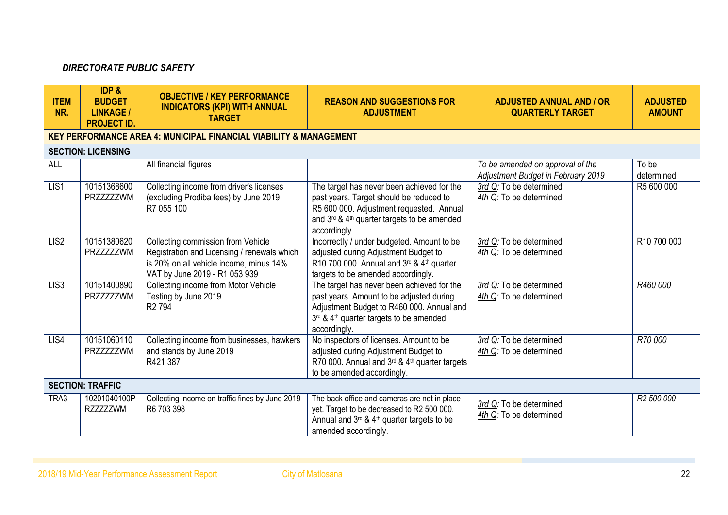## *DIRECTORATE PUBLIC SAFETY*

| <b>ITEM</b><br>NR. | <b>IDP &amp;</b><br><b>BUDGET</b><br><b>LINKAGE /</b><br><b>PROJECT ID.</b> | <b>OBJECTIVE / KEY PERFORMANCE</b><br><b>INDICATORS (KPI) WITH ANNUAL</b><br><b>TARGET</b>                                                                    | <b>REASON AND SUGGESTIONS FOR</b><br><b>ADJUSTMENT</b>                                                                                                                                           | <b>ADJUSTED ANNUAL AND / OR</b><br><b>QUARTERLY TARGET</b>             | <b>ADJUSTED</b><br><b>AMOUNT</b> |
|--------------------|-----------------------------------------------------------------------------|---------------------------------------------------------------------------------------------------------------------------------------------------------------|--------------------------------------------------------------------------------------------------------------------------------------------------------------------------------------------------|------------------------------------------------------------------------|----------------------------------|
|                    |                                                                             | <b>KEY PERFORMANCE AREA 4: MUNICIPAL FINANCIAL VIABILITY &amp; MANAGEMENT</b>                                                                                 |                                                                                                                                                                                                  |                                                                        |                                  |
|                    | <b>SECTION: LICENSING</b>                                                   |                                                                                                                                                               |                                                                                                                                                                                                  |                                                                        |                                  |
| <b>ALL</b>         |                                                                             | All financial figures                                                                                                                                         |                                                                                                                                                                                                  | To be amended on approval of the<br>Adjustment Budget in February 2019 | To be<br>determined              |
| LIS1               | 10151368600<br>PRZZZZZZWM                                                   | Collecting income from driver's licenses<br>(excluding Prodiba fees) by June 2019<br>R7 055 100                                                               | The target has never been achieved for the<br>past years. Target should be reduced to<br>R5 600 000. Adjustment requested. Annual<br>and 3rd & 4th quarter targets to be amended<br>accordingly. | 3rd Q: To be determined<br>4th Q: To be determined                     | R5 600 000                       |
| LIS <sub>2</sub>   | 10151380620<br>PRZZZZZZWM                                                   | Collecting commission from Vehicle<br>Registration and Licensing / renewals which<br>is 20% on all vehicle income, minus 14%<br>VAT by June 2019 - R1 053 939 | Incorrectly / under budgeted. Amount to be<br>adjusted during Adjustment Budget to<br>R10 700 000. Annual and $3^{rd}$ & $4^{th}$ quarter<br>targets to be amended accordingly.                  | 3rd Q: To be determined<br>4th Q: To be determined                     | R10 700 000                      |
| LIS <sub>3</sub>   | 10151400890<br>PRZZZZZZWM                                                   | Collecting income from Motor Vehicle<br>Testing by June 2019<br>R <sub>2</sub> 794                                                                            | The target has never been achieved for the<br>past years. Amount to be adjusted during<br>Adjustment Budget to R460 000. Annual and<br>3rd & 4th quarter targets to be amended<br>accordingly.   | 3rd Q: To be determined<br>4th Q: To be determined                     | R460 000                         |
| LIS4               | 10151060110<br>PRZZZZZZWM                                                   | Collecting income from businesses, hawkers<br>and stands by June 2019<br>R421 387                                                                             | No inspectors of licenses. Amount to be<br>adjusted during Adjustment Budget to<br>R70 000. Annual and 3rd & 4th quarter targets<br>to be amended accordingly.                                   | 3rd Q: To be determined<br>4th Q: To be determined                     | R70 000                          |
|                    | <b>SECTION: TRAFFIC</b>                                                     |                                                                                                                                                               |                                                                                                                                                                                                  |                                                                        |                                  |
| TRA3               | 10201040100P<br><b>RZZZZZZWM</b>                                            | Collecting income on traffic fines by June 2019<br>R6 703 398                                                                                                 | The back office and cameras are not in place<br>yet. Target to be decreased to R2 500 000.<br>Annual and 3rd & 4th quarter targets to be<br>amended accordingly.                                 | 3rd Q: To be determined<br>4th Q: To be determined                     | R <sub>2</sub> 500 000           |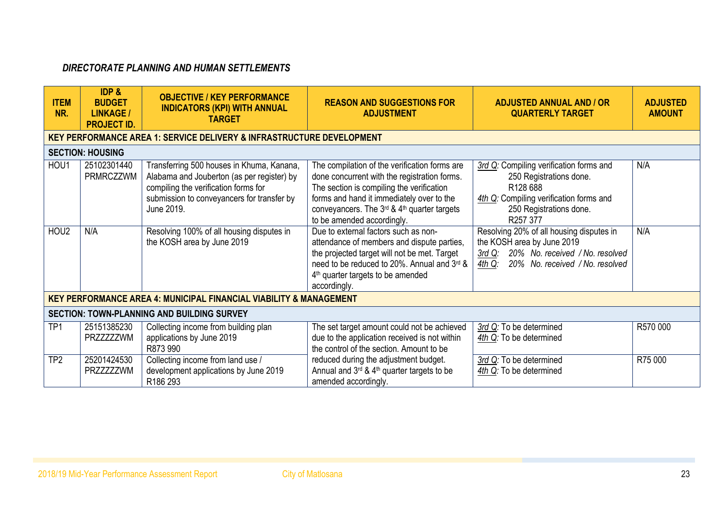# *DIRECTORATE PLANNING AND HUMAN SETTLEMENTS*

| <b>ITEM</b><br>NR. | IDP &<br><b>BUDGET</b><br><b>LINKAGE /</b><br><b>PROJECT ID.</b> | <b>OBJECTIVE / KEY PERFORMANCE</b><br><b>INDICATORS (KPI) WITH ANNUAL</b><br><b>TARGET</b>                                                                                                  | <b>REASON AND SUGGESTIONS FOR</b><br><b>ADJUSTMENT</b>                                                                                                                                                                                                               | <b>ADJUSTED ANNUAL AND / OR</b><br><b>QUARTERLY TARGET</b>                                                                                                                   | <b>ADJUSTED</b><br><b>AMOUNT</b> |
|--------------------|------------------------------------------------------------------|---------------------------------------------------------------------------------------------------------------------------------------------------------------------------------------------|----------------------------------------------------------------------------------------------------------------------------------------------------------------------------------------------------------------------------------------------------------------------|------------------------------------------------------------------------------------------------------------------------------------------------------------------------------|----------------------------------|
|                    |                                                                  | <b>KEY PERFORMANCE AREA 1: SERVICE DELIVERY &amp; INFRASTRUCTURE DEVELOPMENT</b>                                                                                                            |                                                                                                                                                                                                                                                                      |                                                                                                                                                                              |                                  |
|                    | <b>SECTION: HOUSING</b>                                          |                                                                                                                                                                                             |                                                                                                                                                                                                                                                                      |                                                                                                                                                                              |                                  |
| HOU1               | 25102301440<br>PRMRCZZWM                                         | Transferring 500 houses in Khuma, Kanana,<br>Alabama and Jouberton (as per register) by<br>compiling the verification forms for<br>submission to conveyancers for transfer by<br>June 2019. | The compilation of the verification forms are<br>done concurrent with the registration forms.<br>The section is compiling the verification<br>forms and hand it immediately over to the<br>conveyancers. The 3rd & 4th quarter targets<br>to be amended accordingly. | 3rd Q: Compiling verification forms and<br>250 Registrations done.<br>R <sub>128</sub> 688<br>4th Q: Compiling verification forms and<br>250 Registrations done.<br>R257 377 | N/A                              |
| HOU <sub>2</sub>   | N/A                                                              | Resolving 100% of all housing disputes in<br>the KOSH area by June 2019                                                                                                                     | Due to external factors such as non-<br>attendance of members and dispute parties,<br>the projected target will not be met. Target<br>need to be reduced to 20%. Annual and 3rd &<br>4 <sup>th</sup> quarter targets to be amended<br>accordingly.                   | Resolving 20% of all housing disputes in<br>the KOSH area by June 2019<br>20% No. received / No. resolved<br><u>3rd Q:</u><br>20% No. received / No. resolved<br>$4th$ Q:    | N/A                              |
|                    |                                                                  | <b>KEY PERFORMANCE AREA 4: MUNICIPAL FINANCIAL VIABILITY &amp; MANAGEMENT</b>                                                                                                               |                                                                                                                                                                                                                                                                      |                                                                                                                                                                              |                                  |
|                    |                                                                  | <b>SECTION: TOWN-PLANNING AND BUILDING SURVEY</b>                                                                                                                                           |                                                                                                                                                                                                                                                                      |                                                                                                                                                                              |                                  |
| TP <sub>1</sub>    | 25151385230<br>PRZZZZZZWM                                        | Collecting income from building plan<br>applications by June 2019<br>R873 990                                                                                                               | The set target amount could not be achieved<br>due to the application received is not within<br>the control of the section. Amount to be                                                                                                                             | 3rd Q: To be determined<br>4th Q: To be determined                                                                                                                           | R570 000                         |
| TP <sub>2</sub>    | 25201424530<br>PRZZZZZZWM                                        | Collecting income from land use /<br>development applications by June 2019<br>R <sub>186</sub> 293                                                                                          | reduced during the adjustment budget.<br>Annual and 3rd & 4th quarter targets to be<br>amended accordingly.                                                                                                                                                          | 3rd Q: To be determined<br>4th Q: To be determined                                                                                                                           | R75 000                          |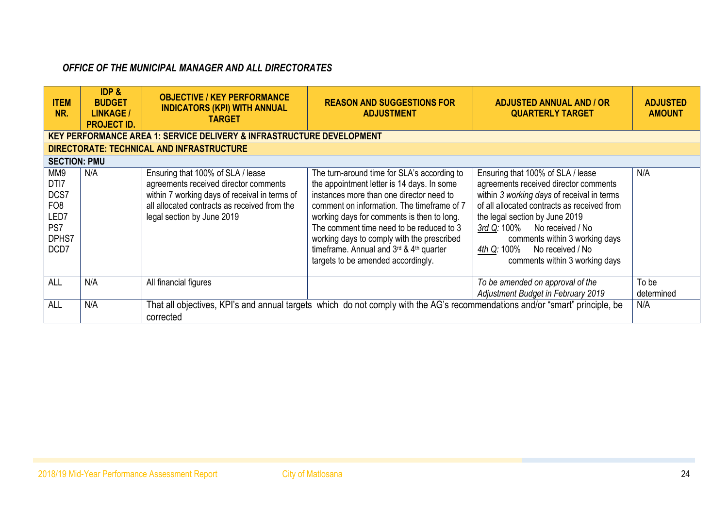# *OFFICE OF THE MUNICIPAL MANAGER AND ALL DIRECTORATES*

| <b>ITEM</b><br>NR.                                                               | <b>IDP &amp;</b><br><b>BUDGET</b><br><b>LINKAGE /</b><br><b>PROJECT ID.</b> | <b>OBJECTIVE / KEY PERFORMANCE</b><br><b>INDICATORS (KPI) WITH ANNUAL</b><br><b>TARGET</b>                                                                                                                | <b>REASON AND SUGGESTIONS FOR</b><br><b>ADJUSTMENT</b>                                                                                                                                                                                                                                                                                                                                                       | <b>ADJUSTED ANNUAL AND / OR</b><br><b>QUARTERLY TARGET</b>                                                                                                                                                                                                                                                                                          | <b>ADJUSTED</b><br><b>AMOUNT</b> |
|----------------------------------------------------------------------------------|-----------------------------------------------------------------------------|-----------------------------------------------------------------------------------------------------------------------------------------------------------------------------------------------------------|--------------------------------------------------------------------------------------------------------------------------------------------------------------------------------------------------------------------------------------------------------------------------------------------------------------------------------------------------------------------------------------------------------------|-----------------------------------------------------------------------------------------------------------------------------------------------------------------------------------------------------------------------------------------------------------------------------------------------------------------------------------------------------|----------------------------------|
| <b>KEY PERFORMANCE AREA 1: SERVICE DELIVERY &amp; INFRASTRUCTURE DEVELOPMENT</b> |                                                                             |                                                                                                                                                                                                           |                                                                                                                                                                                                                                                                                                                                                                                                              |                                                                                                                                                                                                                                                                                                                                                     |                                  |
| DIRECTORATE: TECHNICAL AND INFRASTRUCTURE                                        |                                                                             |                                                                                                                                                                                                           |                                                                                                                                                                                                                                                                                                                                                                                                              |                                                                                                                                                                                                                                                                                                                                                     |                                  |
| <b>SECTION: PMU</b>                                                              |                                                                             |                                                                                                                                                                                                           |                                                                                                                                                                                                                                                                                                                                                                                                              |                                                                                                                                                                                                                                                                                                                                                     |                                  |
| MM9<br>DTI7<br>DCS7<br>FO <sub>8</sub><br>LED7<br>PS7<br>DPHS7<br>DCD7           | N/A                                                                         | Ensuring that 100% of SLA / lease<br>agreements received director comments<br>within 7 working days of receival in terms of<br>all allocated contracts as received from the<br>legal section by June 2019 | The turn-around time for SLA's according to<br>the appointment letter is 14 days. In some<br>instances more than one director need to<br>comment on information. The timeframe of 7<br>working days for comments is then to long.<br>The comment time need to be reduced to 3<br>working days to comply with the prescribed<br>timeframe. Annual and 3rd & 4th quarter<br>targets to be amended accordingly. | Ensuring that 100% of SLA / lease<br>agreements received director comments<br>within 3 working days of receival in terms<br>of all allocated contracts as received from<br>the legal section by June 2019<br>No received / No<br>3rd Q: 100%<br>comments within 3 working days<br>No received / No<br>4th Q: 100%<br>comments within 3 working days | N/A                              |
| ALL                                                                              | N/A                                                                         | All financial figures                                                                                                                                                                                     |                                                                                                                                                                                                                                                                                                                                                                                                              | To be amended on approval of the<br>Adjustment Budget in February 2019                                                                                                                                                                                                                                                                              | To be<br>determined              |
| ALL                                                                              | N/A                                                                         | corrected                                                                                                                                                                                                 | That all objectives, KPI's and annual targets which do not comply with the AG's recommendations and/or "smart" principle, be                                                                                                                                                                                                                                                                                 |                                                                                                                                                                                                                                                                                                                                                     | N/A                              |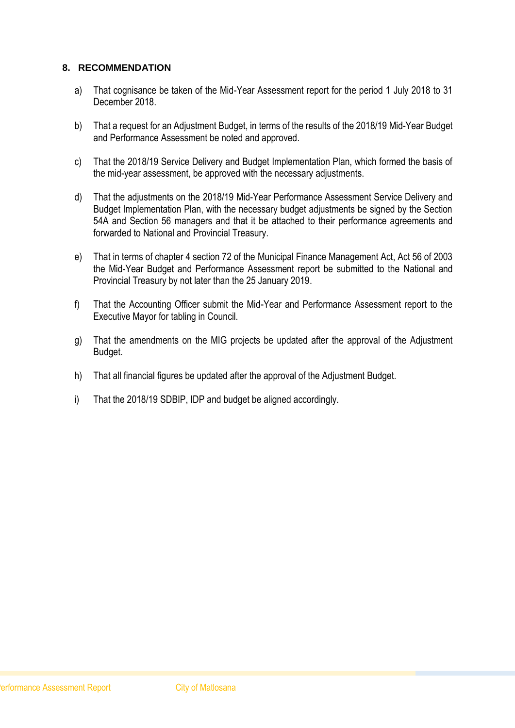### **8. RECOMMENDATION**

- a) That cognisance be taken of the Mid-Year Assessment report for the period 1 July 2018 to 31 December 2018.
- b) That a request for an Adjustment Budget, in terms of the results of the 2018/19 Mid-Year Budget and Performance Assessment be noted and approved.
- c) That the 2018/19 Service Delivery and Budget Implementation Plan, which formed the basis of the mid-year assessment, be approved with the necessary adjustments.
- d) That the adjustments on the 2018/19 Mid-Year Performance Assessment Service Delivery and Budget Implementation Plan, with the necessary budget adjustments be signed by the Section 54A and Section 56 managers and that it be attached to their performance agreements and forwarded to National and Provincial Treasury.
- e) That in terms of chapter 4 section 72 of the Municipal Finance Management Act, Act 56 of 2003 the Mid-Year Budget and Performance Assessment report be submitted to the National and Provincial Treasury by not later than the 25 January 2019.
- f) That the Accounting Officer submit the Mid-Year and Performance Assessment report to the Executive Mayor for tabling in Council.
- g) That the amendments on the MIG projects be updated after the approval of the Adjustment Budget.
- h) That all financial figures be updated after the approval of the Adjustment Budget.
- i) That the 2018/19 SDBIP, IDP and budget be aligned accordingly.